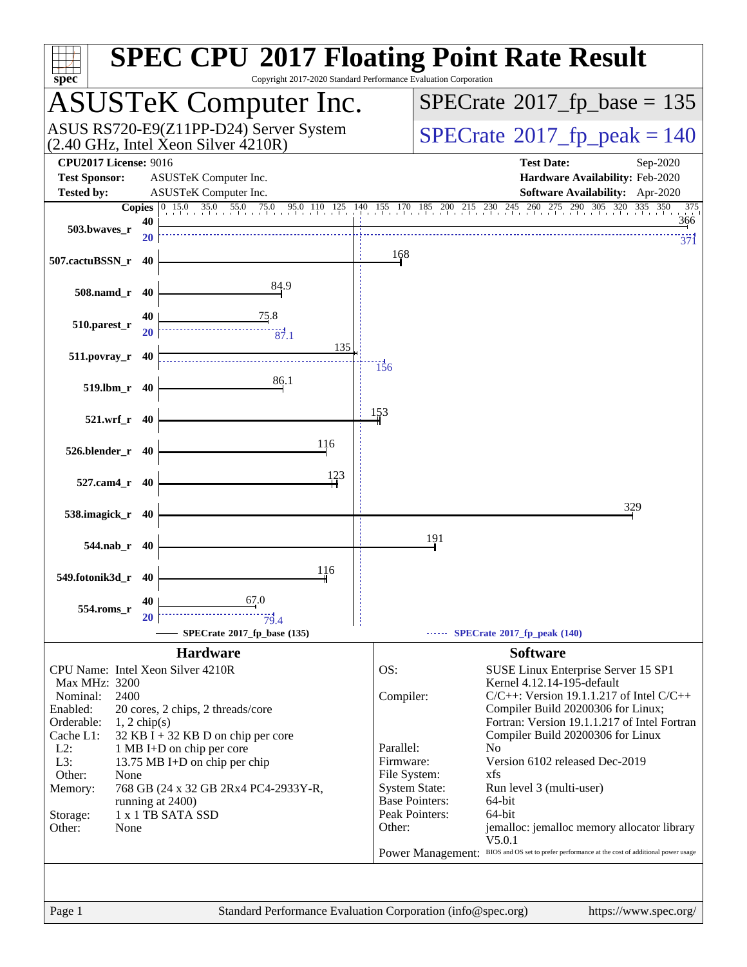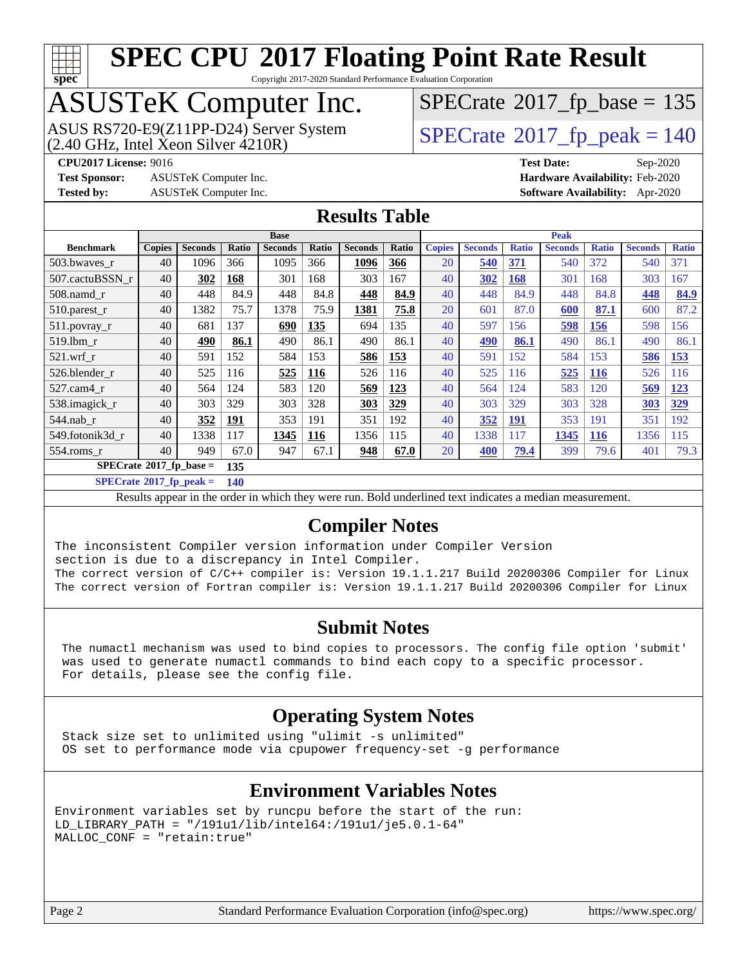

Copyright 2017-2020 Standard Performance Evaluation Corporation

### ASUSTeK Computer Inc.

ASUS RS720-E9(Z11PP-D24) Server System  $(2.40 \text{ GHz}, \text{ Intel Xeon Silver } 4210\text{R})$  [SPECrate](http://www.spec.org/auto/cpu2017/Docs/result-fields.html#SPECrate2017fppeak)®[2017\\_fp\\_peak = 1](http://www.spec.org/auto/cpu2017/Docs/result-fields.html#SPECrate2017fppeak)40

 $SPECTate$ <sup>®</sup>[2017\\_fp\\_base =](http://www.spec.org/auto/cpu2017/Docs/result-fields.html#SPECrate2017fpbase) 135

**[Test Sponsor:](http://www.spec.org/auto/cpu2017/Docs/result-fields.html#TestSponsor)** ASUSTeK Computer Inc. **[Hardware Availability:](http://www.spec.org/auto/cpu2017/Docs/result-fields.html#HardwareAvailability)** Feb-2020

**[CPU2017 License:](http://www.spec.org/auto/cpu2017/Docs/result-fields.html#CPU2017License)** 9016 **[Test Date:](http://www.spec.org/auto/cpu2017/Docs/result-fields.html#TestDate)** Sep-2020 **[Tested by:](http://www.spec.org/auto/cpu2017/Docs/result-fields.html#Testedby)** ASUSTeK Computer Inc. **[Software Availability:](http://www.spec.org/auto/cpu2017/Docs/result-fields.html#SoftwareAvailability)** Apr-2020

#### **[Results Table](http://www.spec.org/auto/cpu2017/Docs/result-fields.html#ResultsTable)**

|                                        | <b>Base</b>   |                |       |                | <b>Peak</b>  |                |       |               |                |              |                |              |                |              |
|----------------------------------------|---------------|----------------|-------|----------------|--------------|----------------|-------|---------------|----------------|--------------|----------------|--------------|----------------|--------------|
| <b>Benchmark</b>                       | <b>Copies</b> | <b>Seconds</b> | Ratio | <b>Seconds</b> | <b>Ratio</b> | <b>Seconds</b> | Ratio | <b>Copies</b> | <b>Seconds</b> | <b>Ratio</b> | <b>Seconds</b> | <b>Ratio</b> | <b>Seconds</b> | <b>Ratio</b> |
| 503.bwayes r                           | 40            | 1096           | 366   | 1095           | 366          | 1096           | 366   | 20            | <b>540</b>     | 371          | 540            | 372          | 540            | 371          |
| 507.cactuBSSN r                        | 40            | 302            | 168   | 301            | 168          | 303            | 167   | 40            | 302            | 168          | 301            | 168          | 303            | 167          |
| $508$ .namd $r$                        | 40            | 448            | 84.9  | 448            | 84.8         | 448            | 84.9  | 40            | 448            | 84.9         | 448            | 84.8         | 448            | 84.9         |
| 510.parest_r                           | 40            | 1382           | 75.7  | 1378           | 75.9         | 1381           | 75.8  | 20            | 601            | 87.0         | 600            | 87.1         | 600            | 87.2         |
| 511.povray_r                           | 40            | 681            | 137   | 690            | 135          | 694            | 135   | 40            | 597            | 156          | <u>598</u>     | <b>156</b>   | 598            | 156          |
| 519.1bm r                              | 40            | 490            | 86.1  | 490            | 86.1         | 490            | 86.1  | 40            | 490            | 86.1         | 490            | 86.1         | 490            | 86.1         |
| $521$ .wrf r                           | 40            | 591            | 152   | 584            | 153          | 586            | 153   | 40            | 591            | 152          | 584            | 153          | 586            | 153          |
| 526.blender r                          | 40            | 525            | 116   | 525            | <u>116</u>   | 526            | 116   | 40            | 525            | 116          | 525            | <b>116</b>   | 526            | 116          |
| 527.cam4 r                             | 40            | 564            | 124   | 583            | 120          | 569            | 123   | 40            | 564            | 124          | 583            | 120          | 569            | <u>123</u>   |
| 538.imagick_r                          | 40            | 303            | 329   | 303            | 328          | <b>303</b>     | 329   | 40            | 303            | 329          | 303            | 328          | <b>303</b>     | 329          |
| 544.nab r                              | 40            | 352            | 191   | 353            | 191          | 351            | 192   | 40            | 352            | <u>191</u>   | 353            | 191          | 351            | 192          |
| 549.fotonik3d r                        | 40            | 1338           | 117   | 1345           | 116          | 1356           | 115   | 40            | 1338           | 117          | 1345           | <b>116</b>   | 1356           | 115          |
| $554$ .roms r                          | 40            | 949            | 67.0  | 947            | 67.1         | 948            | 67.0  | 20            | 400            | 79.4         | 399            | 79.6         | 401            | 79.3         |
| $SPECrate$ <sup>®</sup> 2017_fp_base = |               |                | 135   |                |              |                |       |               |                |              |                |              |                |              |

**[SPECrate](http://www.spec.org/auto/cpu2017/Docs/result-fields.html#SPECrate2017fppeak)[2017\\_fp\\_peak =](http://www.spec.org/auto/cpu2017/Docs/result-fields.html#SPECrate2017fppeak) 140**

Results appear in the [order in which they were run.](http://www.spec.org/auto/cpu2017/Docs/result-fields.html#RunOrder) Bold underlined text [indicates a median measurement.](http://www.spec.org/auto/cpu2017/Docs/result-fields.html#Median)

#### **[Compiler Notes](http://www.spec.org/auto/cpu2017/Docs/result-fields.html#CompilerNotes)**

The inconsistent Compiler version information under Compiler Version section is due to a discrepancy in Intel Compiler. The correct version of C/C++ compiler is: Version 19.1.1.217 Build 20200306 Compiler for Linux The correct version of Fortran compiler is: Version 19.1.1.217 Build 20200306 Compiler for Linux

#### **[Submit Notes](http://www.spec.org/auto/cpu2017/Docs/result-fields.html#SubmitNotes)**

 The numactl mechanism was used to bind copies to processors. The config file option 'submit' was used to generate numactl commands to bind each copy to a specific processor. For details, please see the config file.

#### **[Operating System Notes](http://www.spec.org/auto/cpu2017/Docs/result-fields.html#OperatingSystemNotes)**

 Stack size set to unlimited using "ulimit -s unlimited" OS set to performance mode via cpupower frequency-set -g performance

#### **[Environment Variables Notes](http://www.spec.org/auto/cpu2017/Docs/result-fields.html#EnvironmentVariablesNotes)**

```
Environment variables set by runcpu before the start of the run:
LD_LIBRARY_PATH = "/191u1/lib/intel64:/191u1/je5.0.1-64"
MALLOC_CONF = "retain:true"
```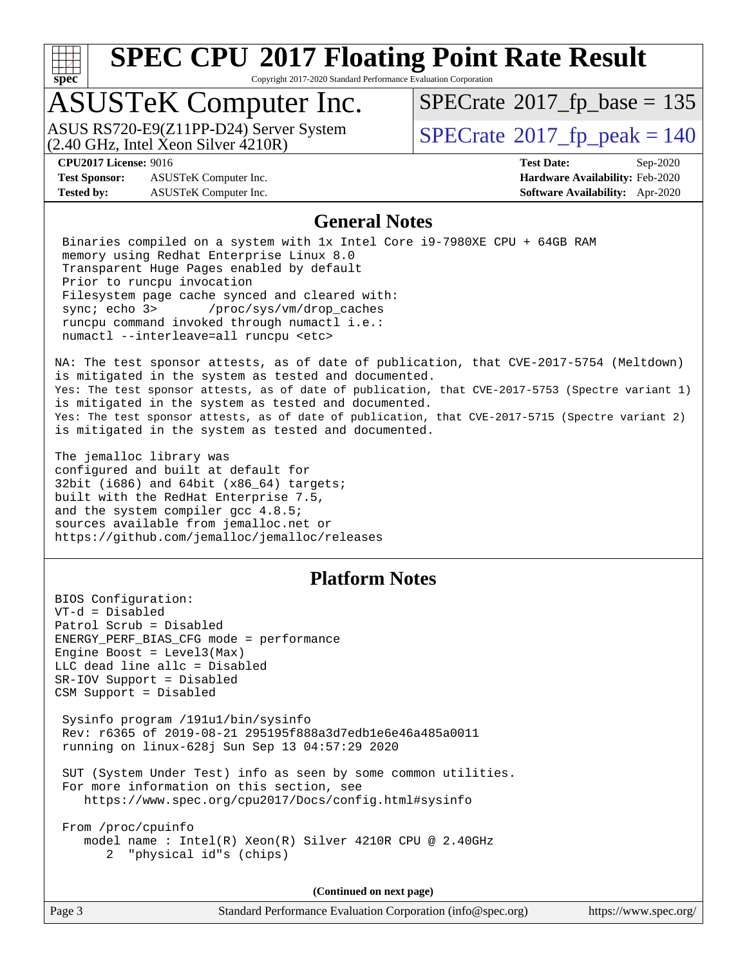

Copyright 2017-2020 Standard Performance Evaluation Corporation

### ASUSTeK Computer Inc.

 $(2.40 \text{ GHz}, \text{Intel } \hat{\text{X}}$ con Silver  $4210\text{R}$ ) ASUS RS720-E9(Z11PP-D24) Server System  $\sqrt{SPECrate}$  $\sqrt{SPECrate}$  $\sqrt{SPECrate}$   $2017$  fp\_peak = 140

 $SPECTate$ <sup>®</sup>[2017\\_fp\\_base =](http://www.spec.org/auto/cpu2017/Docs/result-fields.html#SPECrate2017fpbase) 135

**[Test Sponsor:](http://www.spec.org/auto/cpu2017/Docs/result-fields.html#TestSponsor)** ASUSTeK Computer Inc. **[Hardware Availability:](http://www.spec.org/auto/cpu2017/Docs/result-fields.html#HardwareAvailability)** Feb-2020 **[Tested by:](http://www.spec.org/auto/cpu2017/Docs/result-fields.html#Testedby)** ASUSTeK Computer Inc. **[Software Availability:](http://www.spec.org/auto/cpu2017/Docs/result-fields.html#SoftwareAvailability)** Apr-2020

**[CPU2017 License:](http://www.spec.org/auto/cpu2017/Docs/result-fields.html#CPU2017License)** 9016 **[Test Date:](http://www.spec.org/auto/cpu2017/Docs/result-fields.html#TestDate)** Sep-2020

#### **[General Notes](http://www.spec.org/auto/cpu2017/Docs/result-fields.html#GeneralNotes)**

 Binaries compiled on a system with 1x Intel Core i9-7980XE CPU + 64GB RAM memory using Redhat Enterprise Linux 8.0 Transparent Huge Pages enabled by default Prior to runcpu invocation Filesystem page cache synced and cleared with: sync; echo 3> /proc/sys/vm/drop\_caches runcpu command invoked through numactl i.e.: numactl --interleave=all runcpu <etc>

NA: The test sponsor attests, as of date of publication, that CVE-2017-5754 (Meltdown) is mitigated in the system as tested and documented. Yes: The test sponsor attests, as of date of publication, that CVE-2017-5753 (Spectre variant 1) is mitigated in the system as tested and documented. Yes: The test sponsor attests, as of date of publication, that CVE-2017-5715 (Spectre variant 2) is mitigated in the system as tested and documented.

The jemalloc library was configured and built at default for 32bit (i686) and 64bit (x86\_64) targets; built with the RedHat Enterprise 7.5, and the system compiler gcc 4.8.5; sources available from jemalloc.net or <https://github.com/jemalloc/jemalloc/releases>

#### **[Platform Notes](http://www.spec.org/auto/cpu2017/Docs/result-fields.html#PlatformNotes)**

BIOS Configuration: VT-d = Disabled Patrol Scrub = Disabled ENERGY\_PERF\_BIAS\_CFG mode = performance Engine Boost =  $Level3(Max)$ LLC dead line allc = Disabled SR-IOV Support = Disabled CSM Support = Disabled

 Sysinfo program /191u1/bin/sysinfo Rev: r6365 of 2019-08-21 295195f888a3d7edb1e6e46a485a0011 running on linux-628j Sun Sep 13 04:57:29 2020

 SUT (System Under Test) info as seen by some common utilities. For more information on this section, see <https://www.spec.org/cpu2017/Docs/config.html#sysinfo>

 From /proc/cpuinfo model name : Intel(R) Xeon(R) Silver 4210R CPU @ 2.40GHz 2 "physical id"s (chips)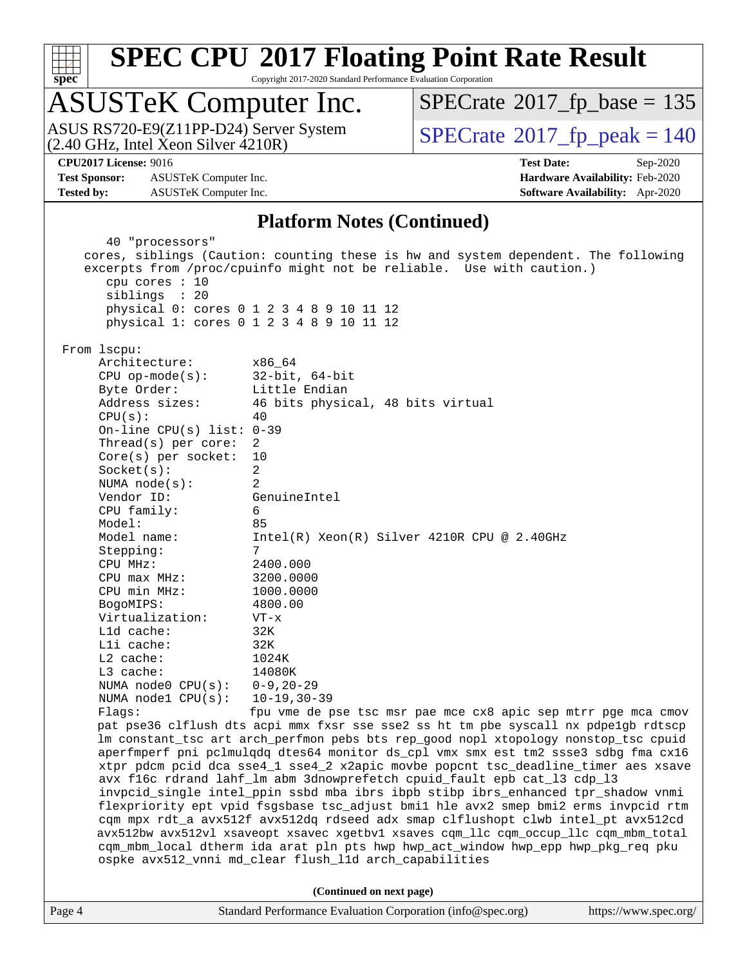

Copyright 2017-2020 Standard Performance Evaluation Corporation

### ASUSTeK Computer Inc.

(2.40 GHz, Intel Xeon Silver 4210R) ASUS RS720-E9(Z11PP-D24) Server System  $\vert$  [SPECrate](http://www.spec.org/auto/cpu2017/Docs/result-fields.html#SPECrate2017fppeak)®[2017\\_fp\\_peak = 1](http://www.spec.org/auto/cpu2017/Docs/result-fields.html#SPECrate2017fppeak)40

 $SPECTate$ <sup>®</sup>[2017\\_fp\\_base =](http://www.spec.org/auto/cpu2017/Docs/result-fields.html#SPECrate2017fpbase) 135

**[Test Sponsor:](http://www.spec.org/auto/cpu2017/Docs/result-fields.html#TestSponsor)** ASUSTeK Computer Inc. **[Hardware Availability:](http://www.spec.org/auto/cpu2017/Docs/result-fields.html#HardwareAvailability)** Feb-2020 **[Tested by:](http://www.spec.org/auto/cpu2017/Docs/result-fields.html#Testedby)** ASUSTeK Computer Inc. **[Software Availability:](http://www.spec.org/auto/cpu2017/Docs/result-fields.html#SoftwareAvailability)** Apr-2020

**[CPU2017 License:](http://www.spec.org/auto/cpu2017/Docs/result-fields.html#CPU2017License)** 9016 **[Test Date:](http://www.spec.org/auto/cpu2017/Docs/result-fields.html#TestDate)** Sep-2020

#### **[Platform Notes \(Continued\)](http://www.spec.org/auto/cpu2017/Docs/result-fields.html#PlatformNotes)**

Page 4 Standard Performance Evaluation Corporation [\(info@spec.org\)](mailto:info@spec.org) <https://www.spec.org/> 40 "processors" cores, siblings (Caution: counting these is hw and system dependent. The following excerpts from /proc/cpuinfo might not be reliable. Use with caution.) cpu cores : 10 siblings : 20 physical 0: cores 0 1 2 3 4 8 9 10 11 12 physical 1: cores 0 1 2 3 4 8 9 10 11 12 From lscpu: Architecture: x86\_64 CPU op-mode(s): 32-bit, 64-bit Byte Order: Little Endian Address sizes: 46 bits physical, 48 bits virtual  $CPII(s):$  40 On-line CPU(s) list: 0-39 Thread(s) per core: 2 Core(s) per socket: 10 Socket(s): 2 NUMA node(s): 2 Vendor ID: GenuineIntel CPU family: 6 Model: 85 Model name: Intel(R) Xeon(R) Silver 4210R CPU @ 2.40GHz Stepping: 7 CPU MHz: 2400.000 CPU max MHz: 3200.0000 CPU min MHz: 1000.0000 BogoMIPS: 4800.00 Virtualization: VT-x L1d cache: 32K L1i cache: 32K L2 cache: 1024K L3 cache: 14080K NUMA node0 CPU(s): 0-9,20-29 NUMA node1 CPU(s): 10-19,30-39 Flags: fpu vme de pse tsc msr pae mce cx8 apic sep mtrr pge mca cmov pat pse36 clflush dts acpi mmx fxsr sse sse2 ss ht tm pbe syscall nx pdpe1gb rdtscp lm constant\_tsc art arch\_perfmon pebs bts rep\_good nopl xtopology nonstop\_tsc cpuid aperfmperf pni pclmulqdq dtes64 monitor ds\_cpl vmx smx est tm2 ssse3 sdbg fma cx16 xtpr pdcm pcid dca sse4\_1 sse4\_2 x2apic movbe popcnt tsc\_deadline\_timer aes xsave avx f16c rdrand lahf\_lm abm 3dnowprefetch cpuid\_fault epb cat\_l3 cdp\_l3 invpcid\_single intel\_ppin ssbd mba ibrs ibpb stibp ibrs\_enhanced tpr\_shadow vnmi flexpriority ept vpid fsgsbase tsc\_adjust bmi1 hle avx2 smep bmi2 erms invpcid rtm cqm mpx rdt\_a avx512f avx512dq rdseed adx smap clflushopt clwb intel\_pt avx512cd avx512bw avx512vl xsaveopt xsavec xgetbv1 xsaves cqm\_llc cqm\_occup\_llc cqm\_mbm\_total cqm\_mbm\_local dtherm ida arat pln pts hwp hwp\_act\_window hwp\_epp hwp\_pkg\_req pku ospke avx512\_vnni md\_clear flush\_l1d arch\_capabilities **(Continued on next page)**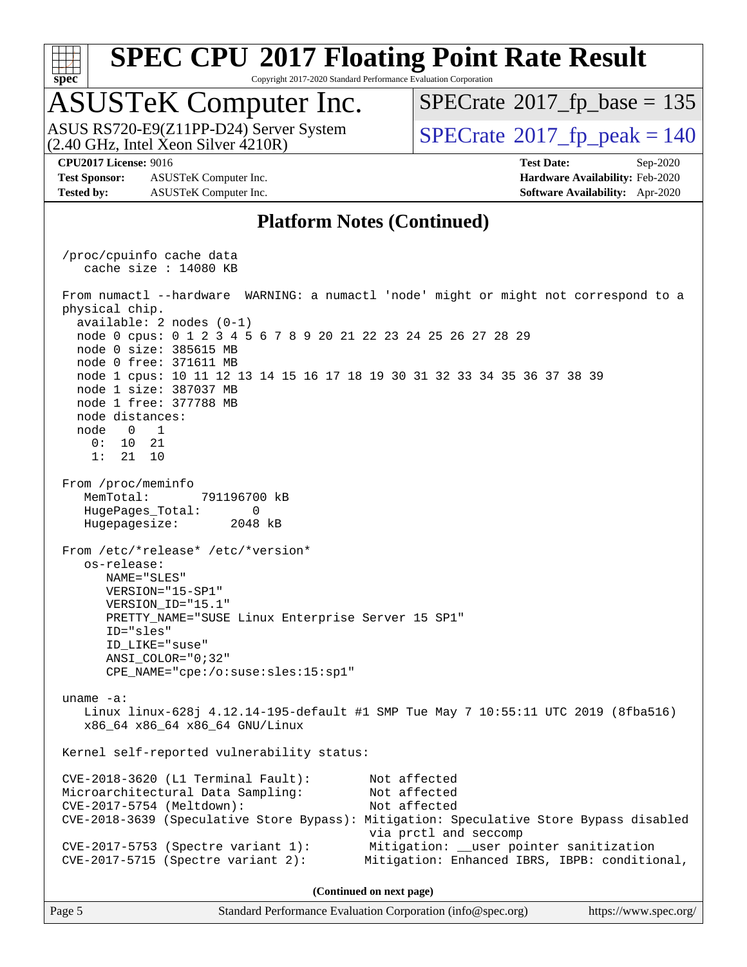

Copyright 2017-2020 Standard Performance Evaluation Corporation

### ASUSTeK Computer Inc.

 $(2.40 \text{ GHz}, \text{Intel } \hat{\text{X}}$ con Silver  $4210\text{R}$ ) ASUS RS720-E9(Z11PP-D24) Server System  $\sqrt{SPECrate}$  $\sqrt{SPECrate}$  $\sqrt{SPECrate}$   $2017$  fp\_peak = 140

 $SPECTate$ <sup>®</sup>[2017\\_fp\\_base =](http://www.spec.org/auto/cpu2017/Docs/result-fields.html#SPECrate2017fpbase) 135

**[Test Sponsor:](http://www.spec.org/auto/cpu2017/Docs/result-fields.html#TestSponsor)** ASUSTeK Computer Inc. **[Hardware Availability:](http://www.spec.org/auto/cpu2017/Docs/result-fields.html#HardwareAvailability)** Feb-2020 **[Tested by:](http://www.spec.org/auto/cpu2017/Docs/result-fields.html#Testedby)** ASUSTeK Computer Inc. **[Software Availability:](http://www.spec.org/auto/cpu2017/Docs/result-fields.html#SoftwareAvailability)** Apr-2020

**[CPU2017 License:](http://www.spec.org/auto/cpu2017/Docs/result-fields.html#CPU2017License)** 9016 **[Test Date:](http://www.spec.org/auto/cpu2017/Docs/result-fields.html#TestDate)** Sep-2020

#### **[Platform Notes \(Continued\)](http://www.spec.org/auto/cpu2017/Docs/result-fields.html#PlatformNotes)**

 /proc/cpuinfo cache data cache size : 14080 KB From numactl --hardware WARNING: a numactl 'node' might or might not correspond to a physical chip. available: 2 nodes (0-1) node 0 cpus: 0 1 2 3 4 5 6 7 8 9 20 21 22 23 24 25 26 27 28 29 node 0 size: 385615 MB node 0 free: 371611 MB node 1 cpus: 10 11 12 13 14 15 16 17 18 19 30 31 32 33 34 35 36 37 38 39 node 1 size: 387037 MB node 1 free: 377788 MB node distances: node 0 1 0: 10 21 1: 21 10 From /proc/meminfo MemTotal: 791196700 kB HugePages\_Total: 0 Hugepagesize: 2048 kB From /etc/\*release\* /etc/\*version\* os-release: NAME="SLES" VERSION="15-SP1" VERSION\_ID="15.1" PRETTY\_NAME="SUSE Linux Enterprise Server 15 SP1" ID="sles" ID\_LIKE="suse" ANSI\_COLOR="0;32" CPE\_NAME="cpe:/o:suse:sles:15:sp1" uname -a: Linux linux-628j 4.12.14-195-default #1 SMP Tue May 7 10:55:11 UTC 2019 (8fba516) x86\_64 x86\_64 x86\_64 GNU/Linux Kernel self-reported vulnerability status: CVE-2018-3620 (L1 Terminal Fault): Not affected Microarchitectural Data Sampling: Not affected CVE-2017-5754 (Meltdown): Not affected CVE-2018-3639 (Speculative Store Bypass): Mitigation: Speculative Store Bypass disabled via prctl and seccomp CVE-2017-5753 (Spectre variant 1): Mitigation: \_\_user pointer sanitization CVE-2017-5715 (Spectre variant 2): Mitigation: Enhanced IBRS, IBPB: conditional, **(Continued on next page)**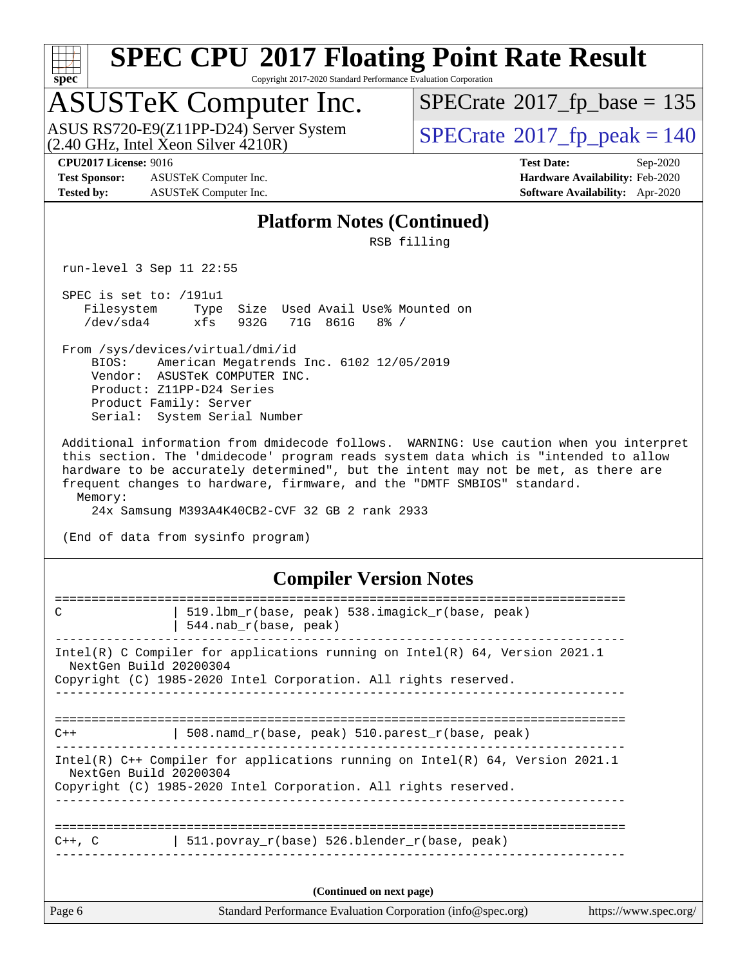

Copyright 2017-2020 Standard Performance Evaluation Corporation

# ASUSTeK Computer Inc.<br>ASUS RS720-E9(Z11PP-D24) Server System

 $(2.40 \text{ GHz}, \text{Intel } \hat{\text{X}}$ con Silver  $4210\text{R}$ )

 $SPECrate$ <sup>®</sup>[2017\\_fp\\_base =](http://www.spec.org/auto/cpu2017/Docs/result-fields.html#SPECrate2017fpbase) 135

**[Test Sponsor:](http://www.spec.org/auto/cpu2017/Docs/result-fields.html#TestSponsor)** ASUSTeK Computer Inc. **[Hardware Availability:](http://www.spec.org/auto/cpu2017/Docs/result-fields.html#HardwareAvailability)** Feb-2020 **[Tested by:](http://www.spec.org/auto/cpu2017/Docs/result-fields.html#Testedby)** ASUSTeK Computer Inc. **[Software Availability:](http://www.spec.org/auto/cpu2017/Docs/result-fields.html#SoftwareAvailability)** Apr-2020

 $SPECTate<sup>®</sup>2017_fp_peak = 140$  $SPECTate<sup>®</sup>2017_fp_peak = 140$  $SPECTate<sup>®</sup>2017_fp_peak = 140$ 

**[CPU2017 License:](http://www.spec.org/auto/cpu2017/Docs/result-fields.html#CPU2017License)** 9016 **[Test Date:](http://www.spec.org/auto/cpu2017/Docs/result-fields.html#TestDate)** Sep-2020

#### **[Platform Notes \(Continued\)](http://www.spec.org/auto/cpu2017/Docs/result-fields.html#PlatformNotes)**

RSB filling

run-level 3 Sep 11 22:55

 SPEC is set to: /191u1 Filesystem Type Size Used Avail Use% Mounted on /dev/sda4 xfs 932G 71G 861G 8% /

 From /sys/devices/virtual/dmi/id BIOS: American Megatrends Inc. 6102 12/05/2019 Vendor: ASUSTeK COMPUTER INC. Product: Z11PP-D24 Series Product Family: Server Serial: System Serial Number

 Additional information from dmidecode follows. WARNING: Use caution when you interpret this section. The 'dmidecode' program reads system data which is "intended to allow hardware to be accurately determined", but the intent may not be met, as there are frequent changes to hardware, firmware, and the "DMTF SMBIOS" standard. Memory:

24x Samsung M393A4K40CB2-CVF 32 GB 2 rank 2933

(End of data from sysinfo program)

#### **[Compiler Version Notes](http://www.spec.org/auto/cpu2017/Docs/result-fields.html#CompilerVersionNotes)**

| Page 6      | Standard Performance Evaluation Corporation (info@spec.org)                                                                                                                  | https://www.spec.org/ |
|-------------|------------------------------------------------------------------------------------------------------------------------------------------------------------------------------|-----------------------|
|             | (Continued on next page)                                                                                                                                                     |                       |
| $C++$ , $C$ | 511. povray $r(base)$ 526. blender $r(base, peak)$                                                                                                                           |                       |
|             | Intel(R) $C++$ Compiler for applications running on Intel(R) 64, Version 2021.1<br>NextGen Build 20200304<br>Copyright (C) 1985-2020 Intel Corporation. All rights reserved. |                       |
| $C++$       | 508. namd $r(base, peak)$ 510. parest $r(base, peak)$                                                                                                                        |                       |
|             | Intel(R) C Compiler for applications running on Intel(R) $64$ , Version 2021.1<br>NextGen Build 20200304<br>Copyright (C) 1985-2020 Intel Corporation. All rights reserved.  |                       |
| C           | 519.1bm r(base, peak) 538.imagick r(base, peak)<br>$544.nab_r(base, peak)$                                                                                                   |                       |
|             |                                                                                                                                                                              |                       |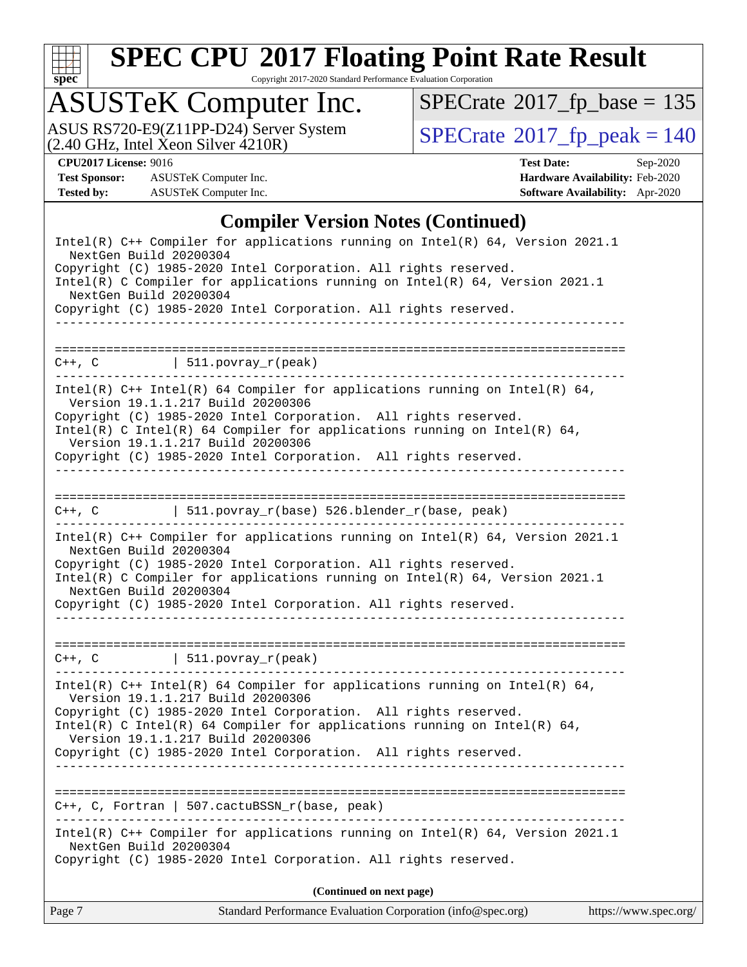

Copyright 2017-2020 Standard Performance Evaluation Corporation

### ASUSTeK Computer Inc.

ASUS RS720-E9(Z11PP-D24) Server System  $(2.40 \text{ GHz}, \text{ Intel Xeon Silver } 4210\text{R})$  [SPECrate](http://www.spec.org/auto/cpu2017/Docs/result-fields.html#SPECrate2017fppeak)®[2017\\_fp\\_peak = 1](http://www.spec.org/auto/cpu2017/Docs/result-fields.html#SPECrate2017fppeak)40

 $SPECrate$ <sup>®</sup>[2017\\_fp\\_base =](http://www.spec.org/auto/cpu2017/Docs/result-fields.html#SPECrate2017fpbase) 135

**[Test Sponsor:](http://www.spec.org/auto/cpu2017/Docs/result-fields.html#TestSponsor)** ASUSTeK Computer Inc. **[Hardware Availability:](http://www.spec.org/auto/cpu2017/Docs/result-fields.html#HardwareAvailability)** Feb-2020 **[Tested by:](http://www.spec.org/auto/cpu2017/Docs/result-fields.html#Testedby)** ASUSTeK Computer Inc. **[Software Availability:](http://www.spec.org/auto/cpu2017/Docs/result-fields.html#SoftwareAvailability)** Apr-2020

**[CPU2017 License:](http://www.spec.org/auto/cpu2017/Docs/result-fields.html#CPU2017License)** 9016 **[Test Date:](http://www.spec.org/auto/cpu2017/Docs/result-fields.html#TestDate)** Sep-2020

#### **[Compiler Version Notes \(Continued\)](http://www.spec.org/auto/cpu2017/Docs/result-fields.html#CompilerVersionNotes)**

| Copyright (C) 1985-2020 Intel Corporation. All rights reserved.<br>Intel(R) C Intel(R) 64 Compiler for applications running on Intel(R) 64,<br>Version 19.1.1.217 Build 20200306<br>Copyright (C) 1985-2020 Intel Corporation. All rights reserved.<br>___________________________________<br>$C++$ , C, Fortran   507. cactuBSSN $r(base$ , peak)<br>Intel(R) $C++$ Compiler for applications running on Intel(R) 64, Version 2021.1<br>NextGen Build 20200304<br>Copyright (C) 1985-2020 Intel Corporation. All rights reserved.<br>(Continued on next page) |  |
|----------------------------------------------------------------------------------------------------------------------------------------------------------------------------------------------------------------------------------------------------------------------------------------------------------------------------------------------------------------------------------------------------------------------------------------------------------------------------------------------------------------------------------------------------------------|--|
|                                                                                                                                                                                                                                                                                                                                                                                                                                                                                                                                                                |  |
|                                                                                                                                                                                                                                                                                                                                                                                                                                                                                                                                                                |  |
|                                                                                                                                                                                                                                                                                                                                                                                                                                                                                                                                                                |  |
|                                                                                                                                                                                                                                                                                                                                                                                                                                                                                                                                                                |  |
| Version 19.1.1.217 Build 20200306                                                                                                                                                                                                                                                                                                                                                                                                                                                                                                                              |  |
| Intel(R) $C++$ Intel(R) 64 Compiler for applications running on Intel(R) 64,                                                                                                                                                                                                                                                                                                                                                                                                                                                                                   |  |
| $C++$ , C $\qquad \qquad$ 511.povray_r(peak)                                                                                                                                                                                                                                                                                                                                                                                                                                                                                                                   |  |
| Intel(R) $C++$ Compiler for applications running on Intel(R) 64, Version 2021.1<br>NextGen Build 20200304<br>Copyright (C) 1985-2020 Intel Corporation. All rights reserved.<br>Intel(R) C Compiler for applications running on Intel(R) 64, Version 2021.1<br>NextGen Build 20200304<br>Copyright (C) 1985-2020 Intel Corporation. All rights reserved.<br>____________________________________                                                                                                                                                               |  |
| C++, C $\vert$ 511.povray_r(base) 526.blender_r(base, peak)                                                                                                                                                                                                                                                                                                                                                                                                                                                                                                    |  |
|                                                                                                                                                                                                                                                                                                                                                                                                                                                                                                                                                                |  |
| Intel(R) $C++$ Intel(R) 64 Compiler for applications running on Intel(R) 64,<br>Version 19.1.1.217 Build 20200306<br>Copyright (C) 1985-2020 Intel Corporation. All rights reserved.<br>Intel(R) C Intel(R) 64 Compiler for applications running on Intel(R) 64,<br>Version 19.1.1.217 Build 20200306<br>Copyright (C) 1985-2020 Intel Corporation. All rights reserved.                                                                                                                                                                                       |  |
| $C++$ , C $\qquad \qquad$ 511.povray_r(peak)                                                                                                                                                                                                                                                                                                                                                                                                                                                                                                                   |  |
|                                                                                                                                                                                                                                                                                                                                                                                                                                                                                                                                                                |  |
|                                                                                                                                                                                                                                                                                                                                                                                                                                                                                                                                                                |  |
| Copyright (C) 1985-2020 Intel Corporation. All rights reserved.                                                                                                                                                                                                                                                                                                                                                                                                                                                                                                |  |
| Copyright (C) 1985-2020 Intel Corporation. All rights reserved.<br>Intel(R) C Compiler for applications running on Intel(R) $64$ , Version 2021.1<br>NextGen Build 20200304                                                                                                                                                                                                                                                                                                                                                                                    |  |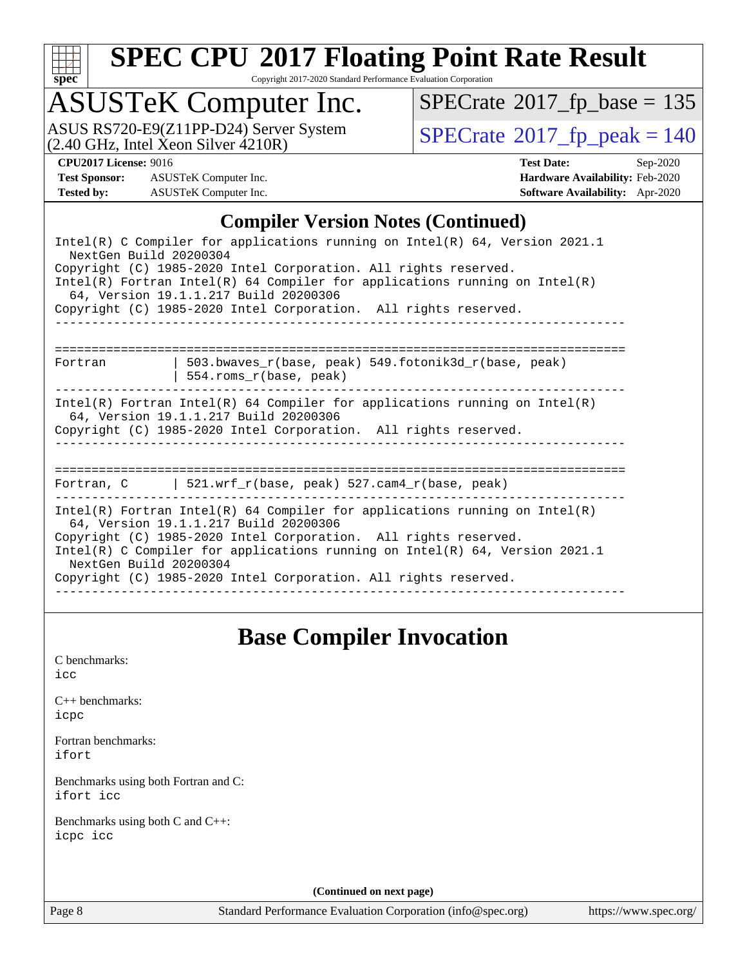

Copyright 2017-2020 Standard Performance Evaluation Corporation

### ASUSTeK Computer Inc.

ASUS RS720-E9(Z11PP-D24) Server System  $(2.40 \text{ GHz}, \text{ Intel Xeon Silver } 4210\text{R})$  [SPECrate](http://www.spec.org/auto/cpu2017/Docs/result-fields.html#SPECrate2017fppeak)®[2017\\_fp\\_peak = 1](http://www.spec.org/auto/cpu2017/Docs/result-fields.html#SPECrate2017fppeak)40

 $SPECrate$ <sup>®</sup>[2017\\_fp\\_base =](http://www.spec.org/auto/cpu2017/Docs/result-fields.html#SPECrate2017fpbase) 135

**[Test Sponsor:](http://www.spec.org/auto/cpu2017/Docs/result-fields.html#TestSponsor)** ASUSTeK Computer Inc. **[Hardware Availability:](http://www.spec.org/auto/cpu2017/Docs/result-fields.html#HardwareAvailability)** Feb-2020 **[Tested by:](http://www.spec.org/auto/cpu2017/Docs/result-fields.html#Testedby)** ASUSTeK Computer Inc. **[Software Availability:](http://www.spec.org/auto/cpu2017/Docs/result-fields.html#SoftwareAvailability)** Apr-2020

**[CPU2017 License:](http://www.spec.org/auto/cpu2017/Docs/result-fields.html#CPU2017License)** 9016 **[Test Date:](http://www.spec.org/auto/cpu2017/Docs/result-fields.html#TestDate)** Sep-2020

#### **[Compiler Version Notes \(Continued\)](http://www.spec.org/auto/cpu2017/Docs/result-fields.html#CompilerVersionNotes)**

| Intel(R) C Compiler for applications running on Intel(R) 64, Version 2021.1<br>NextGen Build 20200304                                                                                                                                                                                                                                                              |
|--------------------------------------------------------------------------------------------------------------------------------------------------------------------------------------------------------------------------------------------------------------------------------------------------------------------------------------------------------------------|
| Copyright (C) 1985-2020 Intel Corporation. All rights reserved.<br>$Intel(R)$ Fortran Intel(R) 64 Compiler for applications running on Intel(R)<br>64, Version 19.1.1.217 Build 20200306                                                                                                                                                                           |
| Copyright (C) 1985-2020 Intel Corporation. All rights reserved.                                                                                                                                                                                                                                                                                                    |
| 503.bwaves_r(base, peak) 549.fotonik3d_r(base, peak)<br>Fortran<br>$554.rows_r(base, peak)$                                                                                                                                                                                                                                                                        |
| Intel(R) Fortran Intel(R) 64 Compiler for applications running on Intel(R)<br>64, Version 19.1.1.217 Build 20200306<br>Copyright (C) 1985-2020 Intel Corporation. All rights reserved.                                                                                                                                                                             |
| Fortran, C $\vert$ 521.wrf r(base, peak) 527.cam4 r(base, peak)                                                                                                                                                                                                                                                                                                    |
| Intel(R) Fortran Intel(R) 64 Compiler for applications running on Intel(R)<br>64, Version 19.1.1.217 Build 20200306<br>Copyright (C) 1985-2020 Intel Corporation. All rights reserved.<br>Intel(R) C Compiler for applications running on Intel(R) 64, Version 2021.1<br>NextGen Build 20200304<br>Copyright (C) 1985-2020 Intel Corporation. All rights reserved. |
|                                                                                                                                                                                                                                                                                                                                                                    |

### **[Base Compiler Invocation](http://www.spec.org/auto/cpu2017/Docs/result-fields.html#BaseCompilerInvocation)**

[C benchmarks](http://www.spec.org/auto/cpu2017/Docs/result-fields.html#Cbenchmarks): [icc](http://www.spec.org/cpu2017/results/res2020q4/cpu2017-20200925-24019.flags.html#user_CCbase_intel_icc_66fc1ee009f7361af1fbd72ca7dcefbb700085f36577c54f309893dd4ec40d12360134090235512931783d35fd58c0460139e722d5067c5574d8eaf2b3e37e92)

[C++ benchmarks:](http://www.spec.org/auto/cpu2017/Docs/result-fields.html#CXXbenchmarks) [icpc](http://www.spec.org/cpu2017/results/res2020q4/cpu2017-20200925-24019.flags.html#user_CXXbase_intel_icpc_c510b6838c7f56d33e37e94d029a35b4a7bccf4766a728ee175e80a419847e808290a9b78be685c44ab727ea267ec2f070ec5dc83b407c0218cded6866a35d07)

[Fortran benchmarks](http://www.spec.org/auto/cpu2017/Docs/result-fields.html#Fortranbenchmarks): [ifort](http://www.spec.org/cpu2017/results/res2020q4/cpu2017-20200925-24019.flags.html#user_FCbase_intel_ifort_8111460550e3ca792625aed983ce982f94888b8b503583aa7ba2b8303487b4d8a21a13e7191a45c5fd58ff318f48f9492884d4413fa793fd88dd292cad7027ca)

[Benchmarks using both Fortran and C](http://www.spec.org/auto/cpu2017/Docs/result-fields.html#BenchmarksusingbothFortranandC): [ifort](http://www.spec.org/cpu2017/results/res2020q4/cpu2017-20200925-24019.flags.html#user_CC_FCbase_intel_ifort_8111460550e3ca792625aed983ce982f94888b8b503583aa7ba2b8303487b4d8a21a13e7191a45c5fd58ff318f48f9492884d4413fa793fd88dd292cad7027ca) [icc](http://www.spec.org/cpu2017/results/res2020q4/cpu2017-20200925-24019.flags.html#user_CC_FCbase_intel_icc_66fc1ee009f7361af1fbd72ca7dcefbb700085f36577c54f309893dd4ec40d12360134090235512931783d35fd58c0460139e722d5067c5574d8eaf2b3e37e92)

[Benchmarks using both C and C++](http://www.spec.org/auto/cpu2017/Docs/result-fields.html#BenchmarksusingbothCandCXX): [icpc](http://www.spec.org/cpu2017/results/res2020q4/cpu2017-20200925-24019.flags.html#user_CC_CXXbase_intel_icpc_c510b6838c7f56d33e37e94d029a35b4a7bccf4766a728ee175e80a419847e808290a9b78be685c44ab727ea267ec2f070ec5dc83b407c0218cded6866a35d07) [icc](http://www.spec.org/cpu2017/results/res2020q4/cpu2017-20200925-24019.flags.html#user_CC_CXXbase_intel_icc_66fc1ee009f7361af1fbd72ca7dcefbb700085f36577c54f309893dd4ec40d12360134090235512931783d35fd58c0460139e722d5067c5574d8eaf2b3e37e92)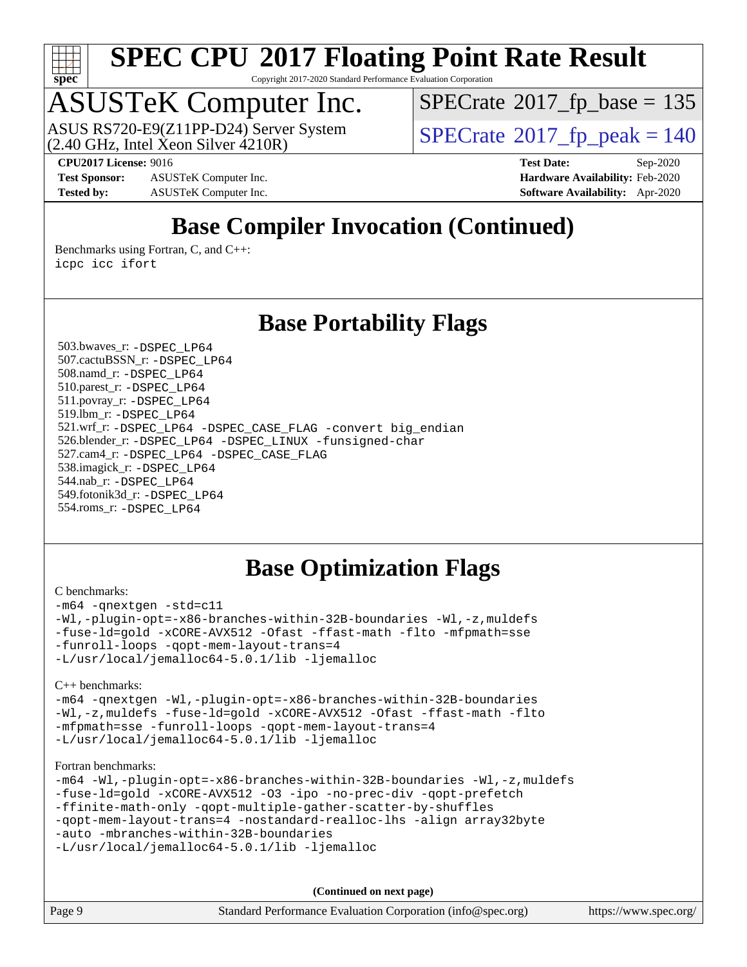

Copyright 2017-2020 Standard Performance Evaluation Corporation

### ASUSTeK Computer Inc.

 $(2.40 \text{ GHz}, \text{Intel } \hat{\text{X}}$ con Silver  $4210\text{R}$ ) ASUS RS720-E9(Z11PP-D24) Server System  $\sqrt{SPECrate}$  $\sqrt{SPECrate}$  $\sqrt{SPECrate}$   $2017$  fp\_peak = 140

 $SPECrate$ <sup>®</sup>[2017\\_fp\\_base =](http://www.spec.org/auto/cpu2017/Docs/result-fields.html#SPECrate2017fpbase) 135

**[Test Sponsor:](http://www.spec.org/auto/cpu2017/Docs/result-fields.html#TestSponsor)** ASUSTeK Computer Inc. **[Hardware Availability:](http://www.spec.org/auto/cpu2017/Docs/result-fields.html#HardwareAvailability)** Feb-2020 **[Tested by:](http://www.spec.org/auto/cpu2017/Docs/result-fields.html#Testedby)** ASUSTeK Computer Inc. **[Software Availability:](http://www.spec.org/auto/cpu2017/Docs/result-fields.html#SoftwareAvailability)** Apr-2020

**[CPU2017 License:](http://www.spec.org/auto/cpu2017/Docs/result-fields.html#CPU2017License)** 9016 **[Test Date:](http://www.spec.org/auto/cpu2017/Docs/result-fields.html#TestDate)** Sep-2020

### **[Base Compiler Invocation \(Continued\)](http://www.spec.org/auto/cpu2017/Docs/result-fields.html#BaseCompilerInvocation)**

[Benchmarks using Fortran, C, and C++:](http://www.spec.org/auto/cpu2017/Docs/result-fields.html#BenchmarksusingFortranCandCXX) [icpc](http://www.spec.org/cpu2017/results/res2020q4/cpu2017-20200925-24019.flags.html#user_CC_CXX_FCbase_intel_icpc_c510b6838c7f56d33e37e94d029a35b4a7bccf4766a728ee175e80a419847e808290a9b78be685c44ab727ea267ec2f070ec5dc83b407c0218cded6866a35d07) [icc](http://www.spec.org/cpu2017/results/res2020q4/cpu2017-20200925-24019.flags.html#user_CC_CXX_FCbase_intel_icc_66fc1ee009f7361af1fbd72ca7dcefbb700085f36577c54f309893dd4ec40d12360134090235512931783d35fd58c0460139e722d5067c5574d8eaf2b3e37e92) [ifort](http://www.spec.org/cpu2017/results/res2020q4/cpu2017-20200925-24019.flags.html#user_CC_CXX_FCbase_intel_ifort_8111460550e3ca792625aed983ce982f94888b8b503583aa7ba2b8303487b4d8a21a13e7191a45c5fd58ff318f48f9492884d4413fa793fd88dd292cad7027ca)

#### **[Base Portability Flags](http://www.spec.org/auto/cpu2017/Docs/result-fields.html#BasePortabilityFlags)**

 503.bwaves\_r: [-DSPEC\\_LP64](http://www.spec.org/cpu2017/results/res2020q4/cpu2017-20200925-24019.flags.html#suite_basePORTABILITY503_bwaves_r_DSPEC_LP64) 507.cactuBSSN\_r: [-DSPEC\\_LP64](http://www.spec.org/cpu2017/results/res2020q4/cpu2017-20200925-24019.flags.html#suite_basePORTABILITY507_cactuBSSN_r_DSPEC_LP64) 508.namd\_r: [-DSPEC\\_LP64](http://www.spec.org/cpu2017/results/res2020q4/cpu2017-20200925-24019.flags.html#suite_basePORTABILITY508_namd_r_DSPEC_LP64) 510.parest\_r: [-DSPEC\\_LP64](http://www.spec.org/cpu2017/results/res2020q4/cpu2017-20200925-24019.flags.html#suite_basePORTABILITY510_parest_r_DSPEC_LP64) 511.povray\_r: [-DSPEC\\_LP64](http://www.spec.org/cpu2017/results/res2020q4/cpu2017-20200925-24019.flags.html#suite_basePORTABILITY511_povray_r_DSPEC_LP64) 519.lbm\_r: [-DSPEC\\_LP64](http://www.spec.org/cpu2017/results/res2020q4/cpu2017-20200925-24019.flags.html#suite_basePORTABILITY519_lbm_r_DSPEC_LP64) 521.wrf\_r: [-DSPEC\\_LP64](http://www.spec.org/cpu2017/results/res2020q4/cpu2017-20200925-24019.flags.html#suite_basePORTABILITY521_wrf_r_DSPEC_LP64) [-DSPEC\\_CASE\\_FLAG](http://www.spec.org/cpu2017/results/res2020q4/cpu2017-20200925-24019.flags.html#b521.wrf_r_baseCPORTABILITY_DSPEC_CASE_FLAG) [-convert big\\_endian](http://www.spec.org/cpu2017/results/res2020q4/cpu2017-20200925-24019.flags.html#user_baseFPORTABILITY521_wrf_r_convert_big_endian_c3194028bc08c63ac5d04de18c48ce6d347e4e562e8892b8bdbdc0214820426deb8554edfa529a3fb25a586e65a3d812c835984020483e7e73212c4d31a38223) 526.blender\_r: [-DSPEC\\_LP64](http://www.spec.org/cpu2017/results/res2020q4/cpu2017-20200925-24019.flags.html#suite_basePORTABILITY526_blender_r_DSPEC_LP64) [-DSPEC\\_LINUX](http://www.spec.org/cpu2017/results/res2020q4/cpu2017-20200925-24019.flags.html#b526.blender_r_baseCPORTABILITY_DSPEC_LINUX) [-funsigned-char](http://www.spec.org/cpu2017/results/res2020q4/cpu2017-20200925-24019.flags.html#user_baseCPORTABILITY526_blender_r_force_uchar_40c60f00ab013830e2dd6774aeded3ff59883ba5a1fc5fc14077f794d777847726e2a5858cbc7672e36e1b067e7e5c1d9a74f7176df07886a243d7cc18edfe67) 527.cam4\_r: [-DSPEC\\_LP64](http://www.spec.org/cpu2017/results/res2020q4/cpu2017-20200925-24019.flags.html#suite_basePORTABILITY527_cam4_r_DSPEC_LP64) [-DSPEC\\_CASE\\_FLAG](http://www.spec.org/cpu2017/results/res2020q4/cpu2017-20200925-24019.flags.html#b527.cam4_r_baseCPORTABILITY_DSPEC_CASE_FLAG) 538.imagick\_r: [-DSPEC\\_LP64](http://www.spec.org/cpu2017/results/res2020q4/cpu2017-20200925-24019.flags.html#suite_basePORTABILITY538_imagick_r_DSPEC_LP64) 544.nab\_r: [-DSPEC\\_LP64](http://www.spec.org/cpu2017/results/res2020q4/cpu2017-20200925-24019.flags.html#suite_basePORTABILITY544_nab_r_DSPEC_LP64) 549.fotonik3d\_r: [-DSPEC\\_LP64](http://www.spec.org/cpu2017/results/res2020q4/cpu2017-20200925-24019.flags.html#suite_basePORTABILITY549_fotonik3d_r_DSPEC_LP64) 554.roms\_r: [-DSPEC\\_LP64](http://www.spec.org/cpu2017/results/res2020q4/cpu2017-20200925-24019.flags.html#suite_basePORTABILITY554_roms_r_DSPEC_LP64)

### **[Base Optimization Flags](http://www.spec.org/auto/cpu2017/Docs/result-fields.html#BaseOptimizationFlags)**

#### [C benchmarks](http://www.spec.org/auto/cpu2017/Docs/result-fields.html#Cbenchmarks):

[-m64](http://www.spec.org/cpu2017/results/res2020q4/cpu2017-20200925-24019.flags.html#user_CCbase_m64-icc) [-qnextgen](http://www.spec.org/cpu2017/results/res2020q4/cpu2017-20200925-24019.flags.html#user_CCbase_f-qnextgen) [-std=c11](http://www.spec.org/cpu2017/results/res2020q4/cpu2017-20200925-24019.flags.html#user_CCbase_std-icc-std_0e1c27790398a4642dfca32ffe6c27b5796f9c2d2676156f2e42c9c44eaad0c049b1cdb667a270c34d979996257aeb8fc440bfb01818dbc9357bd9d174cb8524) [-Wl,-plugin-opt=-x86-branches-within-32B-boundaries](http://www.spec.org/cpu2017/results/res2020q4/cpu2017-20200925-24019.flags.html#user_CCbase_f-x86-branches-within-32B-boundaries_0098b4e4317ae60947b7b728078a624952a08ac37a3c797dfb4ffeb399e0c61a9dd0f2f44ce917e9361fb9076ccb15e7824594512dd315205382d84209e912f3) [-Wl,-z,muldefs](http://www.spec.org/cpu2017/results/res2020q4/cpu2017-20200925-24019.flags.html#user_CCbase_link_force_multiple1_b4cbdb97b34bdee9ceefcfe54f4c8ea74255f0b02a4b23e853cdb0e18eb4525ac79b5a88067c842dd0ee6996c24547a27a4b99331201badda8798ef8a743f577) [-fuse-ld=gold](http://www.spec.org/cpu2017/results/res2020q4/cpu2017-20200925-24019.flags.html#user_CCbase_f-fuse-ld_920b3586e2b8c6e0748b9c84fa9b744736ba725a32cab14ad8f3d4ad28eecb2f59d1144823d2e17006539a88734fe1fc08fc3035f7676166309105a78aaabc32) [-xCORE-AVX512](http://www.spec.org/cpu2017/results/res2020q4/cpu2017-20200925-24019.flags.html#user_CCbase_f-xCORE-AVX512) [-Ofast](http://www.spec.org/cpu2017/results/res2020q4/cpu2017-20200925-24019.flags.html#user_CCbase_f-Ofast) [-ffast-math](http://www.spec.org/cpu2017/results/res2020q4/cpu2017-20200925-24019.flags.html#user_CCbase_f-ffast-math) [-flto](http://www.spec.org/cpu2017/results/res2020q4/cpu2017-20200925-24019.flags.html#user_CCbase_f-flto) [-mfpmath=sse](http://www.spec.org/cpu2017/results/res2020q4/cpu2017-20200925-24019.flags.html#user_CCbase_f-mfpmath_70eb8fac26bde974f8ab713bc9086c5621c0b8d2f6c86f38af0bd7062540daf19db5f3a066d8c6684be05d84c9b6322eb3b5be6619d967835195b93d6c02afa1) [-funroll-loops](http://www.spec.org/cpu2017/results/res2020q4/cpu2017-20200925-24019.flags.html#user_CCbase_f-funroll-loops) [-qopt-mem-layout-trans=4](http://www.spec.org/cpu2017/results/res2020q4/cpu2017-20200925-24019.flags.html#user_CCbase_f-qopt-mem-layout-trans_fa39e755916c150a61361b7846f310bcdf6f04e385ef281cadf3647acec3f0ae266d1a1d22d972a7087a248fd4e6ca390a3634700869573d231a252c784941a8) [-L/usr/local/jemalloc64-5.0.1/lib](http://www.spec.org/cpu2017/results/res2020q4/cpu2017-20200925-24019.flags.html#user_CCbase_jemalloc_link_path64_1_cc289568b1a6c0fd3b62c91b824c27fcb5af5e8098e6ad028160d21144ef1b8aef3170d2acf0bee98a8da324cfe4f67d0a3d0c4cc4673d993d694dc2a0df248b) [-ljemalloc](http://www.spec.org/cpu2017/results/res2020q4/cpu2017-20200925-24019.flags.html#user_CCbase_jemalloc_link_lib_d1249b907c500fa1c0672f44f562e3d0f79738ae9e3c4a9c376d49f265a04b9c99b167ecedbf6711b3085be911c67ff61f150a17b3472be731631ba4d0471706)

[C++ benchmarks:](http://www.spec.org/auto/cpu2017/Docs/result-fields.html#CXXbenchmarks)

[-m64](http://www.spec.org/cpu2017/results/res2020q4/cpu2017-20200925-24019.flags.html#user_CXXbase_m64-icc) [-qnextgen](http://www.spec.org/cpu2017/results/res2020q4/cpu2017-20200925-24019.flags.html#user_CXXbase_f-qnextgen) [-Wl,-plugin-opt=-x86-branches-within-32B-boundaries](http://www.spec.org/cpu2017/results/res2020q4/cpu2017-20200925-24019.flags.html#user_CXXbase_f-x86-branches-within-32B-boundaries_0098b4e4317ae60947b7b728078a624952a08ac37a3c797dfb4ffeb399e0c61a9dd0f2f44ce917e9361fb9076ccb15e7824594512dd315205382d84209e912f3) [-Wl,-z,muldefs](http://www.spec.org/cpu2017/results/res2020q4/cpu2017-20200925-24019.flags.html#user_CXXbase_link_force_multiple1_b4cbdb97b34bdee9ceefcfe54f4c8ea74255f0b02a4b23e853cdb0e18eb4525ac79b5a88067c842dd0ee6996c24547a27a4b99331201badda8798ef8a743f577) [-fuse-ld=gold](http://www.spec.org/cpu2017/results/res2020q4/cpu2017-20200925-24019.flags.html#user_CXXbase_f-fuse-ld_920b3586e2b8c6e0748b9c84fa9b744736ba725a32cab14ad8f3d4ad28eecb2f59d1144823d2e17006539a88734fe1fc08fc3035f7676166309105a78aaabc32) [-xCORE-AVX512](http://www.spec.org/cpu2017/results/res2020q4/cpu2017-20200925-24019.flags.html#user_CXXbase_f-xCORE-AVX512) [-Ofast](http://www.spec.org/cpu2017/results/res2020q4/cpu2017-20200925-24019.flags.html#user_CXXbase_f-Ofast) [-ffast-math](http://www.spec.org/cpu2017/results/res2020q4/cpu2017-20200925-24019.flags.html#user_CXXbase_f-ffast-math) [-flto](http://www.spec.org/cpu2017/results/res2020q4/cpu2017-20200925-24019.flags.html#user_CXXbase_f-flto) [-mfpmath=sse](http://www.spec.org/cpu2017/results/res2020q4/cpu2017-20200925-24019.flags.html#user_CXXbase_f-mfpmath_70eb8fac26bde974f8ab713bc9086c5621c0b8d2f6c86f38af0bd7062540daf19db5f3a066d8c6684be05d84c9b6322eb3b5be6619d967835195b93d6c02afa1) [-funroll-loops](http://www.spec.org/cpu2017/results/res2020q4/cpu2017-20200925-24019.flags.html#user_CXXbase_f-funroll-loops) [-qopt-mem-layout-trans=4](http://www.spec.org/cpu2017/results/res2020q4/cpu2017-20200925-24019.flags.html#user_CXXbase_f-qopt-mem-layout-trans_fa39e755916c150a61361b7846f310bcdf6f04e385ef281cadf3647acec3f0ae266d1a1d22d972a7087a248fd4e6ca390a3634700869573d231a252c784941a8) [-L/usr/local/jemalloc64-5.0.1/lib](http://www.spec.org/cpu2017/results/res2020q4/cpu2017-20200925-24019.flags.html#user_CXXbase_jemalloc_link_path64_1_cc289568b1a6c0fd3b62c91b824c27fcb5af5e8098e6ad028160d21144ef1b8aef3170d2acf0bee98a8da324cfe4f67d0a3d0c4cc4673d993d694dc2a0df248b) [-ljemalloc](http://www.spec.org/cpu2017/results/res2020q4/cpu2017-20200925-24019.flags.html#user_CXXbase_jemalloc_link_lib_d1249b907c500fa1c0672f44f562e3d0f79738ae9e3c4a9c376d49f265a04b9c99b167ecedbf6711b3085be911c67ff61f150a17b3472be731631ba4d0471706)

[Fortran benchmarks](http://www.spec.org/auto/cpu2017/Docs/result-fields.html#Fortranbenchmarks):

```
-m64 -Wl,-plugin-opt=-x86-branches-within-32B-boundaries -Wl,-z,muldefs
-fuse-ld=gold -xCORE-AVX512 -O3 -ipo -no-prec-div -qopt-prefetch
-ffinite-math-only -qopt-multiple-gather-scatter-by-shuffles
-qopt-mem-layout-trans=4 -nostandard-realloc-lhs -align array32byte
-auto -mbranches-within-32B-boundaries
-L/usr/local/jemalloc64-5.0.1/lib -ljemalloc
```

| Page 9 | Standard Performance Evaluation Corporation (info@spec.org) | https://www.spec.org/ |
|--------|-------------------------------------------------------------|-----------------------|
|        |                                                             |                       |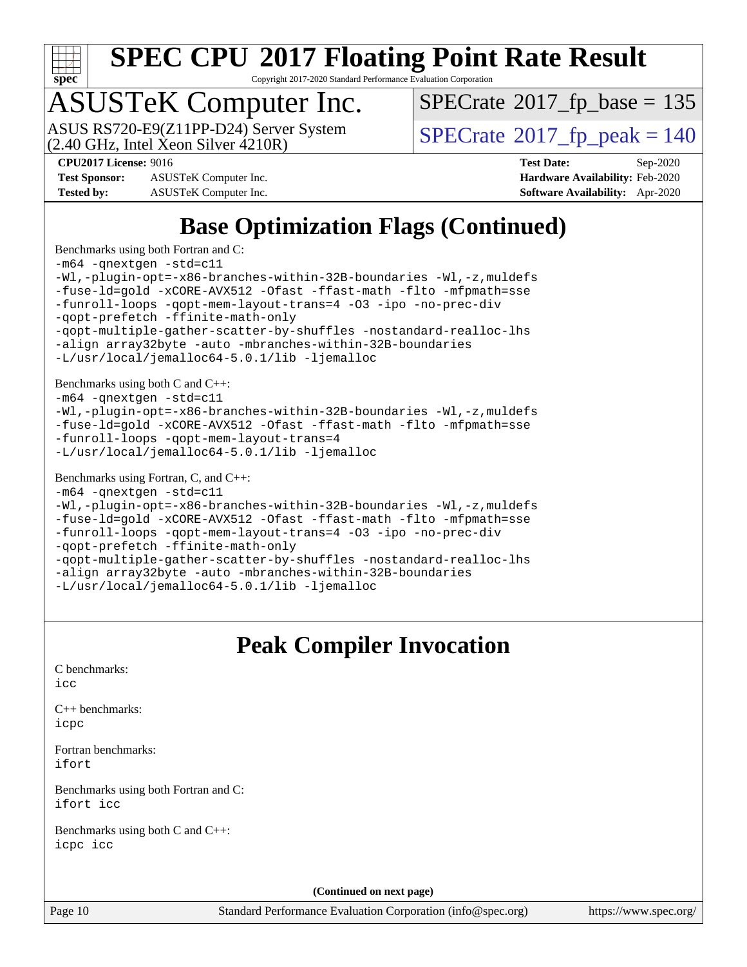

Copyright 2017-2020 Standard Performance Evaluation Corporation

### ASUSTeK Computer Inc.

(2.40 GHz, Intel Xeon Silver 4210R) ASUS RS720-E9(Z11PP-D24) Server System  $\vert$  [SPECrate](http://www.spec.org/auto/cpu2017/Docs/result-fields.html#SPECrate2017fppeak)®[2017\\_fp\\_peak = 1](http://www.spec.org/auto/cpu2017/Docs/result-fields.html#SPECrate2017fppeak)40

 $SPECTate$ <sup>®</sup>[2017\\_fp\\_base =](http://www.spec.org/auto/cpu2017/Docs/result-fields.html#SPECrate2017fpbase) 135

**[Test Sponsor:](http://www.spec.org/auto/cpu2017/Docs/result-fields.html#TestSponsor)** ASUSTeK Computer Inc. **[Hardware Availability:](http://www.spec.org/auto/cpu2017/Docs/result-fields.html#HardwareAvailability)** Feb-2020 **[Tested by:](http://www.spec.org/auto/cpu2017/Docs/result-fields.html#Testedby)** ASUSTeK Computer Inc. **[Software Availability:](http://www.spec.org/auto/cpu2017/Docs/result-fields.html#SoftwareAvailability)** Apr-2020

**[CPU2017 License:](http://www.spec.org/auto/cpu2017/Docs/result-fields.html#CPU2017License)** 9016 **[Test Date:](http://www.spec.org/auto/cpu2017/Docs/result-fields.html#TestDate)** Sep-2020

**[Base Optimization Flags \(Continued\)](http://www.spec.org/auto/cpu2017/Docs/result-fields.html#BaseOptimizationFlags)**

[Benchmarks using both Fortran and C](http://www.spec.org/auto/cpu2017/Docs/result-fields.html#BenchmarksusingbothFortranandC): [-m64](http://www.spec.org/cpu2017/results/res2020q4/cpu2017-20200925-24019.flags.html#user_CC_FCbase_m64-icc) [-qnextgen](http://www.spec.org/cpu2017/results/res2020q4/cpu2017-20200925-24019.flags.html#user_CC_FCbase_f-qnextgen) [-std=c11](http://www.spec.org/cpu2017/results/res2020q4/cpu2017-20200925-24019.flags.html#user_CC_FCbase_std-icc-std_0e1c27790398a4642dfca32ffe6c27b5796f9c2d2676156f2e42c9c44eaad0c049b1cdb667a270c34d979996257aeb8fc440bfb01818dbc9357bd9d174cb8524) [-Wl,-plugin-opt=-x86-branches-within-32B-boundaries](http://www.spec.org/cpu2017/results/res2020q4/cpu2017-20200925-24019.flags.html#user_CC_FCbase_f-x86-branches-within-32B-boundaries_0098b4e4317ae60947b7b728078a624952a08ac37a3c797dfb4ffeb399e0c61a9dd0f2f44ce917e9361fb9076ccb15e7824594512dd315205382d84209e912f3) [-Wl,-z,muldefs](http://www.spec.org/cpu2017/results/res2020q4/cpu2017-20200925-24019.flags.html#user_CC_FCbase_link_force_multiple1_b4cbdb97b34bdee9ceefcfe54f4c8ea74255f0b02a4b23e853cdb0e18eb4525ac79b5a88067c842dd0ee6996c24547a27a4b99331201badda8798ef8a743f577) [-fuse-ld=gold](http://www.spec.org/cpu2017/results/res2020q4/cpu2017-20200925-24019.flags.html#user_CC_FCbase_f-fuse-ld_920b3586e2b8c6e0748b9c84fa9b744736ba725a32cab14ad8f3d4ad28eecb2f59d1144823d2e17006539a88734fe1fc08fc3035f7676166309105a78aaabc32) [-xCORE-AVX512](http://www.spec.org/cpu2017/results/res2020q4/cpu2017-20200925-24019.flags.html#user_CC_FCbase_f-xCORE-AVX512) [-Ofast](http://www.spec.org/cpu2017/results/res2020q4/cpu2017-20200925-24019.flags.html#user_CC_FCbase_f-Ofast) [-ffast-math](http://www.spec.org/cpu2017/results/res2020q4/cpu2017-20200925-24019.flags.html#user_CC_FCbase_f-ffast-math) [-flto](http://www.spec.org/cpu2017/results/res2020q4/cpu2017-20200925-24019.flags.html#user_CC_FCbase_f-flto) [-mfpmath=sse](http://www.spec.org/cpu2017/results/res2020q4/cpu2017-20200925-24019.flags.html#user_CC_FCbase_f-mfpmath_70eb8fac26bde974f8ab713bc9086c5621c0b8d2f6c86f38af0bd7062540daf19db5f3a066d8c6684be05d84c9b6322eb3b5be6619d967835195b93d6c02afa1) [-funroll-loops](http://www.spec.org/cpu2017/results/res2020q4/cpu2017-20200925-24019.flags.html#user_CC_FCbase_f-funroll-loops) [-qopt-mem-layout-trans=4](http://www.spec.org/cpu2017/results/res2020q4/cpu2017-20200925-24019.flags.html#user_CC_FCbase_f-qopt-mem-layout-trans_fa39e755916c150a61361b7846f310bcdf6f04e385ef281cadf3647acec3f0ae266d1a1d22d972a7087a248fd4e6ca390a3634700869573d231a252c784941a8) [-O3](http://www.spec.org/cpu2017/results/res2020q4/cpu2017-20200925-24019.flags.html#user_CC_FCbase_f-O3) [-ipo](http://www.spec.org/cpu2017/results/res2020q4/cpu2017-20200925-24019.flags.html#user_CC_FCbase_f-ipo) [-no-prec-div](http://www.spec.org/cpu2017/results/res2020q4/cpu2017-20200925-24019.flags.html#user_CC_FCbase_f-no-prec-div) [-qopt-prefetch](http://www.spec.org/cpu2017/results/res2020q4/cpu2017-20200925-24019.flags.html#user_CC_FCbase_f-qopt-prefetch) [-ffinite-math-only](http://www.spec.org/cpu2017/results/res2020q4/cpu2017-20200925-24019.flags.html#user_CC_FCbase_f_finite_math_only_cb91587bd2077682c4b38af759c288ed7c732db004271a9512da14a4f8007909a5f1427ecbf1a0fb78ff2a814402c6114ac565ca162485bbcae155b5e4258871) [-qopt-multiple-gather-scatter-by-shuffles](http://www.spec.org/cpu2017/results/res2020q4/cpu2017-20200925-24019.flags.html#user_CC_FCbase_f-qopt-multiple-gather-scatter-by-shuffles) [-nostandard-realloc-lhs](http://www.spec.org/cpu2017/results/res2020q4/cpu2017-20200925-24019.flags.html#user_CC_FCbase_f_2003_std_realloc_82b4557e90729c0f113870c07e44d33d6f5a304b4f63d4c15d2d0f1fab99f5daaed73bdb9275d9ae411527f28b936061aa8b9c8f2d63842963b95c9dd6426b8a) [-align array32byte](http://www.spec.org/cpu2017/results/res2020q4/cpu2017-20200925-24019.flags.html#user_CC_FCbase_align_array32byte_b982fe038af199962ba9a80c053b8342c548c85b40b8e86eb3cc33dee0d7986a4af373ac2d51c3f7cf710a18d62fdce2948f201cd044323541f22fc0fffc51b6) [-auto](http://www.spec.org/cpu2017/results/res2020q4/cpu2017-20200925-24019.flags.html#user_CC_FCbase_f-auto) [-mbranches-within-32B-boundaries](http://www.spec.org/cpu2017/results/res2020q4/cpu2017-20200925-24019.flags.html#user_CC_FCbase_f-mbranches-within-32B-boundaries) [-L/usr/local/jemalloc64-5.0.1/lib](http://www.spec.org/cpu2017/results/res2020q4/cpu2017-20200925-24019.flags.html#user_CC_FCbase_jemalloc_link_path64_1_cc289568b1a6c0fd3b62c91b824c27fcb5af5e8098e6ad028160d21144ef1b8aef3170d2acf0bee98a8da324cfe4f67d0a3d0c4cc4673d993d694dc2a0df248b) [-ljemalloc](http://www.spec.org/cpu2017/results/res2020q4/cpu2017-20200925-24019.flags.html#user_CC_FCbase_jemalloc_link_lib_d1249b907c500fa1c0672f44f562e3d0f79738ae9e3c4a9c376d49f265a04b9c99b167ecedbf6711b3085be911c67ff61f150a17b3472be731631ba4d0471706) [Benchmarks using both C and C++](http://www.spec.org/auto/cpu2017/Docs/result-fields.html#BenchmarksusingbothCandCXX): [-m64](http://www.spec.org/cpu2017/results/res2020q4/cpu2017-20200925-24019.flags.html#user_CC_CXXbase_m64-icc) [-qnextgen](http://www.spec.org/cpu2017/results/res2020q4/cpu2017-20200925-24019.flags.html#user_CC_CXXbase_f-qnextgen) [-std=c11](http://www.spec.org/cpu2017/results/res2020q4/cpu2017-20200925-24019.flags.html#user_CC_CXXbase_std-icc-std_0e1c27790398a4642dfca32ffe6c27b5796f9c2d2676156f2e42c9c44eaad0c049b1cdb667a270c34d979996257aeb8fc440bfb01818dbc9357bd9d174cb8524) [-Wl,-plugin-opt=-x86-branches-within-32B-boundaries](http://www.spec.org/cpu2017/results/res2020q4/cpu2017-20200925-24019.flags.html#user_CC_CXXbase_f-x86-branches-within-32B-boundaries_0098b4e4317ae60947b7b728078a624952a08ac37a3c797dfb4ffeb399e0c61a9dd0f2f44ce917e9361fb9076ccb15e7824594512dd315205382d84209e912f3) [-Wl,-z,muldefs](http://www.spec.org/cpu2017/results/res2020q4/cpu2017-20200925-24019.flags.html#user_CC_CXXbase_link_force_multiple1_b4cbdb97b34bdee9ceefcfe54f4c8ea74255f0b02a4b23e853cdb0e18eb4525ac79b5a88067c842dd0ee6996c24547a27a4b99331201badda8798ef8a743f577) [-fuse-ld=gold](http://www.spec.org/cpu2017/results/res2020q4/cpu2017-20200925-24019.flags.html#user_CC_CXXbase_f-fuse-ld_920b3586e2b8c6e0748b9c84fa9b744736ba725a32cab14ad8f3d4ad28eecb2f59d1144823d2e17006539a88734fe1fc08fc3035f7676166309105a78aaabc32) [-xCORE-AVX512](http://www.spec.org/cpu2017/results/res2020q4/cpu2017-20200925-24019.flags.html#user_CC_CXXbase_f-xCORE-AVX512) [-Ofast](http://www.spec.org/cpu2017/results/res2020q4/cpu2017-20200925-24019.flags.html#user_CC_CXXbase_f-Ofast) [-ffast-math](http://www.spec.org/cpu2017/results/res2020q4/cpu2017-20200925-24019.flags.html#user_CC_CXXbase_f-ffast-math) [-flto](http://www.spec.org/cpu2017/results/res2020q4/cpu2017-20200925-24019.flags.html#user_CC_CXXbase_f-flto) [-mfpmath=sse](http://www.spec.org/cpu2017/results/res2020q4/cpu2017-20200925-24019.flags.html#user_CC_CXXbase_f-mfpmath_70eb8fac26bde974f8ab713bc9086c5621c0b8d2f6c86f38af0bd7062540daf19db5f3a066d8c6684be05d84c9b6322eb3b5be6619d967835195b93d6c02afa1) [-funroll-loops](http://www.spec.org/cpu2017/results/res2020q4/cpu2017-20200925-24019.flags.html#user_CC_CXXbase_f-funroll-loops) [-qopt-mem-layout-trans=4](http://www.spec.org/cpu2017/results/res2020q4/cpu2017-20200925-24019.flags.html#user_CC_CXXbase_f-qopt-mem-layout-trans_fa39e755916c150a61361b7846f310bcdf6f04e385ef281cadf3647acec3f0ae266d1a1d22d972a7087a248fd4e6ca390a3634700869573d231a252c784941a8) [-L/usr/local/jemalloc64-5.0.1/lib](http://www.spec.org/cpu2017/results/res2020q4/cpu2017-20200925-24019.flags.html#user_CC_CXXbase_jemalloc_link_path64_1_cc289568b1a6c0fd3b62c91b824c27fcb5af5e8098e6ad028160d21144ef1b8aef3170d2acf0bee98a8da324cfe4f67d0a3d0c4cc4673d993d694dc2a0df248b) [-ljemalloc](http://www.spec.org/cpu2017/results/res2020q4/cpu2017-20200925-24019.flags.html#user_CC_CXXbase_jemalloc_link_lib_d1249b907c500fa1c0672f44f562e3d0f79738ae9e3c4a9c376d49f265a04b9c99b167ecedbf6711b3085be911c67ff61f150a17b3472be731631ba4d0471706) [Benchmarks using Fortran, C, and C++:](http://www.spec.org/auto/cpu2017/Docs/result-fields.html#BenchmarksusingFortranCandCXX) [-m64](http://www.spec.org/cpu2017/results/res2020q4/cpu2017-20200925-24019.flags.html#user_CC_CXX_FCbase_m64-icc) [-qnextgen](http://www.spec.org/cpu2017/results/res2020q4/cpu2017-20200925-24019.flags.html#user_CC_CXX_FCbase_f-qnextgen) [-std=c11](http://www.spec.org/cpu2017/results/res2020q4/cpu2017-20200925-24019.flags.html#user_CC_CXX_FCbase_std-icc-std_0e1c27790398a4642dfca32ffe6c27b5796f9c2d2676156f2e42c9c44eaad0c049b1cdb667a270c34d979996257aeb8fc440bfb01818dbc9357bd9d174cb8524) [-Wl,-plugin-opt=-x86-branches-within-32B-boundaries](http://www.spec.org/cpu2017/results/res2020q4/cpu2017-20200925-24019.flags.html#user_CC_CXX_FCbase_f-x86-branches-within-32B-boundaries_0098b4e4317ae60947b7b728078a624952a08ac37a3c797dfb4ffeb399e0c61a9dd0f2f44ce917e9361fb9076ccb15e7824594512dd315205382d84209e912f3) [-Wl,-z,muldefs](http://www.spec.org/cpu2017/results/res2020q4/cpu2017-20200925-24019.flags.html#user_CC_CXX_FCbase_link_force_multiple1_b4cbdb97b34bdee9ceefcfe54f4c8ea74255f0b02a4b23e853cdb0e18eb4525ac79b5a88067c842dd0ee6996c24547a27a4b99331201badda8798ef8a743f577) [-fuse-ld=gold](http://www.spec.org/cpu2017/results/res2020q4/cpu2017-20200925-24019.flags.html#user_CC_CXX_FCbase_f-fuse-ld_920b3586e2b8c6e0748b9c84fa9b744736ba725a32cab14ad8f3d4ad28eecb2f59d1144823d2e17006539a88734fe1fc08fc3035f7676166309105a78aaabc32) [-xCORE-AVX512](http://www.spec.org/cpu2017/results/res2020q4/cpu2017-20200925-24019.flags.html#user_CC_CXX_FCbase_f-xCORE-AVX512) [-Ofast](http://www.spec.org/cpu2017/results/res2020q4/cpu2017-20200925-24019.flags.html#user_CC_CXX_FCbase_f-Ofast) [-ffast-math](http://www.spec.org/cpu2017/results/res2020q4/cpu2017-20200925-24019.flags.html#user_CC_CXX_FCbase_f-ffast-math) [-flto](http://www.spec.org/cpu2017/results/res2020q4/cpu2017-20200925-24019.flags.html#user_CC_CXX_FCbase_f-flto) [-mfpmath=sse](http://www.spec.org/cpu2017/results/res2020q4/cpu2017-20200925-24019.flags.html#user_CC_CXX_FCbase_f-mfpmath_70eb8fac26bde974f8ab713bc9086c5621c0b8d2f6c86f38af0bd7062540daf19db5f3a066d8c6684be05d84c9b6322eb3b5be6619d967835195b93d6c02afa1) [-funroll-loops](http://www.spec.org/cpu2017/results/res2020q4/cpu2017-20200925-24019.flags.html#user_CC_CXX_FCbase_f-funroll-loops) [-qopt-mem-layout-trans=4](http://www.spec.org/cpu2017/results/res2020q4/cpu2017-20200925-24019.flags.html#user_CC_CXX_FCbase_f-qopt-mem-layout-trans_fa39e755916c150a61361b7846f310bcdf6f04e385ef281cadf3647acec3f0ae266d1a1d22d972a7087a248fd4e6ca390a3634700869573d231a252c784941a8) [-O3](http://www.spec.org/cpu2017/results/res2020q4/cpu2017-20200925-24019.flags.html#user_CC_CXX_FCbase_f-O3) [-ipo](http://www.spec.org/cpu2017/results/res2020q4/cpu2017-20200925-24019.flags.html#user_CC_CXX_FCbase_f-ipo) [-no-prec-div](http://www.spec.org/cpu2017/results/res2020q4/cpu2017-20200925-24019.flags.html#user_CC_CXX_FCbase_f-no-prec-div) [-qopt-prefetch](http://www.spec.org/cpu2017/results/res2020q4/cpu2017-20200925-24019.flags.html#user_CC_CXX_FCbase_f-qopt-prefetch) [-ffinite-math-only](http://www.spec.org/cpu2017/results/res2020q4/cpu2017-20200925-24019.flags.html#user_CC_CXX_FCbase_f_finite_math_only_cb91587bd2077682c4b38af759c288ed7c732db004271a9512da14a4f8007909a5f1427ecbf1a0fb78ff2a814402c6114ac565ca162485bbcae155b5e4258871) [-qopt-multiple-gather-scatter-by-shuffles](http://www.spec.org/cpu2017/results/res2020q4/cpu2017-20200925-24019.flags.html#user_CC_CXX_FCbase_f-qopt-multiple-gather-scatter-by-shuffles) [-nostandard-realloc-lhs](http://www.spec.org/cpu2017/results/res2020q4/cpu2017-20200925-24019.flags.html#user_CC_CXX_FCbase_f_2003_std_realloc_82b4557e90729c0f113870c07e44d33d6f5a304b4f63d4c15d2d0f1fab99f5daaed73bdb9275d9ae411527f28b936061aa8b9c8f2d63842963b95c9dd6426b8a) [-align array32byte](http://www.spec.org/cpu2017/results/res2020q4/cpu2017-20200925-24019.flags.html#user_CC_CXX_FCbase_align_array32byte_b982fe038af199962ba9a80c053b8342c548c85b40b8e86eb3cc33dee0d7986a4af373ac2d51c3f7cf710a18d62fdce2948f201cd044323541f22fc0fffc51b6) [-auto](http://www.spec.org/cpu2017/results/res2020q4/cpu2017-20200925-24019.flags.html#user_CC_CXX_FCbase_f-auto) [-mbranches-within-32B-boundaries](http://www.spec.org/cpu2017/results/res2020q4/cpu2017-20200925-24019.flags.html#user_CC_CXX_FCbase_f-mbranches-within-32B-boundaries) [-L/usr/local/jemalloc64-5.0.1/lib](http://www.spec.org/cpu2017/results/res2020q4/cpu2017-20200925-24019.flags.html#user_CC_CXX_FCbase_jemalloc_link_path64_1_cc289568b1a6c0fd3b62c91b824c27fcb5af5e8098e6ad028160d21144ef1b8aef3170d2acf0bee98a8da324cfe4f67d0a3d0c4cc4673d993d694dc2a0df248b) [-ljemalloc](http://www.spec.org/cpu2017/results/res2020q4/cpu2017-20200925-24019.flags.html#user_CC_CXX_FCbase_jemalloc_link_lib_d1249b907c500fa1c0672f44f562e3d0f79738ae9e3c4a9c376d49f265a04b9c99b167ecedbf6711b3085be911c67ff61f150a17b3472be731631ba4d0471706)

| <b>Peak Compiler Invocation</b>                         |
|---------------------------------------------------------|
| C benchmarks:<br>icc                                    |
| $C_{++}$ benchmarks:<br>icpc                            |
| Fortran benchmarks:<br>ifort                            |
| Benchmarks using both Fortran and C:<br>ifort icc       |
| Benchmarks using both C and C++:<br>icpc icc            |
| $\sim$ $\sim$ $\sim$ $\sim$ $\sim$ $\sim$ $\sim$ $\sim$ |

**(Continued on next page)**

Page 10 Standard Performance Evaluation Corporation [\(info@spec.org\)](mailto:info@spec.org) <https://www.spec.org/>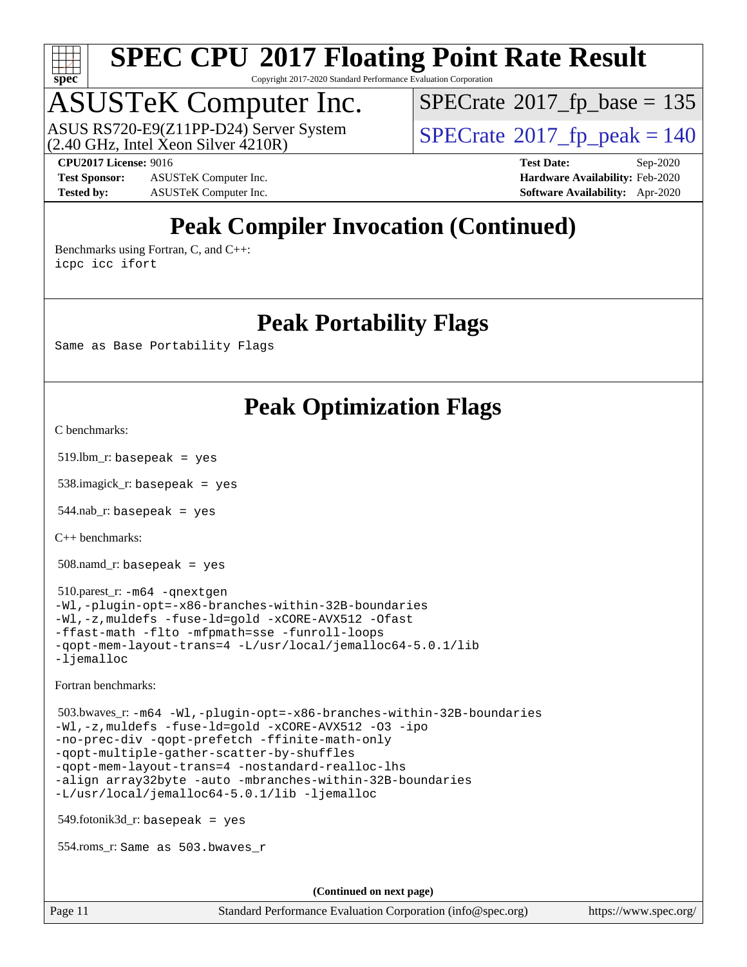

Copyright 2017-2020 Standard Performance Evaluation Corporation

### ASUSTeK Computer Inc.

ASUS RS720-E9(Z11PP-D24) Server System<br>(2.40 GHz, Intel Xeon Silver 4210R)

 $SPECTate$ <sup>®</sup>[2017\\_fp\\_base =](http://www.spec.org/auto/cpu2017/Docs/result-fields.html#SPECrate2017fpbase) 135

**[Test Sponsor:](http://www.spec.org/auto/cpu2017/Docs/result-fields.html#TestSponsor)** ASUSTeK Computer Inc. **[Hardware Availability:](http://www.spec.org/auto/cpu2017/Docs/result-fields.html#HardwareAvailability)** Feb-2020 **[Tested by:](http://www.spec.org/auto/cpu2017/Docs/result-fields.html#Testedby)** ASUSTeK Computer Inc. **[Software Availability:](http://www.spec.org/auto/cpu2017/Docs/result-fields.html#SoftwareAvailability)** Apr-2020

 $SPECTate<sup>®</sup>2017_fp_peak = 140$  $SPECTate<sup>®</sup>2017_fp_peak = 140$  $SPECTate<sup>®</sup>2017_fp_peak = 140$ **[CPU2017 License:](http://www.spec.org/auto/cpu2017/Docs/result-fields.html#CPU2017License)** 9016 **[Test Date:](http://www.spec.org/auto/cpu2017/Docs/result-fields.html#TestDate)** Sep-2020

### **[Peak Compiler Invocation \(Continued\)](http://www.spec.org/auto/cpu2017/Docs/result-fields.html#PeakCompilerInvocation)**

[Benchmarks using Fortran, C, and C++:](http://www.spec.org/auto/cpu2017/Docs/result-fields.html#BenchmarksusingFortranCandCXX) [icpc](http://www.spec.org/cpu2017/results/res2020q4/cpu2017-20200925-24019.flags.html#user_CC_CXX_FCpeak_intel_icpc_c510b6838c7f56d33e37e94d029a35b4a7bccf4766a728ee175e80a419847e808290a9b78be685c44ab727ea267ec2f070ec5dc83b407c0218cded6866a35d07) [icc](http://www.spec.org/cpu2017/results/res2020q4/cpu2017-20200925-24019.flags.html#user_CC_CXX_FCpeak_intel_icc_66fc1ee009f7361af1fbd72ca7dcefbb700085f36577c54f309893dd4ec40d12360134090235512931783d35fd58c0460139e722d5067c5574d8eaf2b3e37e92) [ifort](http://www.spec.org/cpu2017/results/res2020q4/cpu2017-20200925-24019.flags.html#user_CC_CXX_FCpeak_intel_ifort_8111460550e3ca792625aed983ce982f94888b8b503583aa7ba2b8303487b4d8a21a13e7191a45c5fd58ff318f48f9492884d4413fa793fd88dd292cad7027ca)

#### **[Peak Portability Flags](http://www.spec.org/auto/cpu2017/Docs/result-fields.html#PeakPortabilityFlags)**

Same as Base Portability Flags

### **[Peak Optimization Flags](http://www.spec.org/auto/cpu2017/Docs/result-fields.html#PeakOptimizationFlags)**

[C benchmarks](http://www.spec.org/auto/cpu2017/Docs/result-fields.html#Cbenchmarks):

519.lbm\_r: basepeak = yes

538.imagick\_r: basepeak = yes

 $544$ .nab\_r: basepeak = yes

[C++ benchmarks:](http://www.spec.org/auto/cpu2017/Docs/result-fields.html#CXXbenchmarks)

508.namd\_r: basepeak = yes

 510.parest\_r: [-m64](http://www.spec.org/cpu2017/results/res2020q4/cpu2017-20200925-24019.flags.html#user_peakCXXLD510_parest_r_m64-icc) [-qnextgen](http://www.spec.org/cpu2017/results/res2020q4/cpu2017-20200925-24019.flags.html#user_peakCXXLD510_parest_r_f-qnextgen) [-Wl,-plugin-opt=-x86-branches-within-32B-boundaries](http://www.spec.org/cpu2017/results/res2020q4/cpu2017-20200925-24019.flags.html#user_peakLDFLAGS510_parest_r_f-x86-branches-within-32B-boundaries_0098b4e4317ae60947b7b728078a624952a08ac37a3c797dfb4ffeb399e0c61a9dd0f2f44ce917e9361fb9076ccb15e7824594512dd315205382d84209e912f3) [-Wl,-z,muldefs](http://www.spec.org/cpu2017/results/res2020q4/cpu2017-20200925-24019.flags.html#user_peakEXTRA_LDFLAGS510_parest_r_link_force_multiple1_b4cbdb97b34bdee9ceefcfe54f4c8ea74255f0b02a4b23e853cdb0e18eb4525ac79b5a88067c842dd0ee6996c24547a27a4b99331201badda8798ef8a743f577) [-fuse-ld=gold](http://www.spec.org/cpu2017/results/res2020q4/cpu2017-20200925-24019.flags.html#user_peakEXTRA_LDFLAGS510_parest_r_f-fuse-ld_920b3586e2b8c6e0748b9c84fa9b744736ba725a32cab14ad8f3d4ad28eecb2f59d1144823d2e17006539a88734fe1fc08fc3035f7676166309105a78aaabc32) [-xCORE-AVX512](http://www.spec.org/cpu2017/results/res2020q4/cpu2017-20200925-24019.flags.html#user_peakCXXOPTIMIZE510_parest_r_f-xCORE-AVX512) [-Ofast](http://www.spec.org/cpu2017/results/res2020q4/cpu2017-20200925-24019.flags.html#user_peakCXXOPTIMIZE510_parest_r_f-Ofast) [-ffast-math](http://www.spec.org/cpu2017/results/res2020q4/cpu2017-20200925-24019.flags.html#user_peakCXXOPTIMIZE510_parest_r_f-ffast-math) [-flto](http://www.spec.org/cpu2017/results/res2020q4/cpu2017-20200925-24019.flags.html#user_peakCXXOPTIMIZE510_parest_r_f-flto) [-mfpmath=sse](http://www.spec.org/cpu2017/results/res2020q4/cpu2017-20200925-24019.flags.html#user_peakCXXOPTIMIZE510_parest_r_f-mfpmath_70eb8fac26bde974f8ab713bc9086c5621c0b8d2f6c86f38af0bd7062540daf19db5f3a066d8c6684be05d84c9b6322eb3b5be6619d967835195b93d6c02afa1) [-funroll-loops](http://www.spec.org/cpu2017/results/res2020q4/cpu2017-20200925-24019.flags.html#user_peakCXXOPTIMIZE510_parest_r_f-funroll-loops) [-qopt-mem-layout-trans=4](http://www.spec.org/cpu2017/results/res2020q4/cpu2017-20200925-24019.flags.html#user_peakCXXOPTIMIZE510_parest_r_f-qopt-mem-layout-trans_fa39e755916c150a61361b7846f310bcdf6f04e385ef281cadf3647acec3f0ae266d1a1d22d972a7087a248fd4e6ca390a3634700869573d231a252c784941a8) [-L/usr/local/jemalloc64-5.0.1/lib](http://www.spec.org/cpu2017/results/res2020q4/cpu2017-20200925-24019.flags.html#user_peakEXTRA_LIBS510_parest_r_jemalloc_link_path64_1_cc289568b1a6c0fd3b62c91b824c27fcb5af5e8098e6ad028160d21144ef1b8aef3170d2acf0bee98a8da324cfe4f67d0a3d0c4cc4673d993d694dc2a0df248b) [-ljemalloc](http://www.spec.org/cpu2017/results/res2020q4/cpu2017-20200925-24019.flags.html#user_peakEXTRA_LIBS510_parest_r_jemalloc_link_lib_d1249b907c500fa1c0672f44f562e3d0f79738ae9e3c4a9c376d49f265a04b9c99b167ecedbf6711b3085be911c67ff61f150a17b3472be731631ba4d0471706)

[Fortran benchmarks](http://www.spec.org/auto/cpu2017/Docs/result-fields.html#Fortranbenchmarks):

 503.bwaves\_r: [-m64](http://www.spec.org/cpu2017/results/res2020q4/cpu2017-20200925-24019.flags.html#user_peakFCLD503_bwaves_r_m64-icc) [-Wl,-plugin-opt=-x86-branches-within-32B-boundaries](http://www.spec.org/cpu2017/results/res2020q4/cpu2017-20200925-24019.flags.html#user_peakLDFLAGS503_bwaves_r_f-x86-branches-within-32B-boundaries_0098b4e4317ae60947b7b728078a624952a08ac37a3c797dfb4ffeb399e0c61a9dd0f2f44ce917e9361fb9076ccb15e7824594512dd315205382d84209e912f3) [-Wl,-z,muldefs](http://www.spec.org/cpu2017/results/res2020q4/cpu2017-20200925-24019.flags.html#user_peakEXTRA_LDFLAGS503_bwaves_r_link_force_multiple1_b4cbdb97b34bdee9ceefcfe54f4c8ea74255f0b02a4b23e853cdb0e18eb4525ac79b5a88067c842dd0ee6996c24547a27a4b99331201badda8798ef8a743f577) [-fuse-ld=gold](http://www.spec.org/cpu2017/results/res2020q4/cpu2017-20200925-24019.flags.html#user_peakEXTRA_LDFLAGS503_bwaves_r_f-fuse-ld_920b3586e2b8c6e0748b9c84fa9b744736ba725a32cab14ad8f3d4ad28eecb2f59d1144823d2e17006539a88734fe1fc08fc3035f7676166309105a78aaabc32) [-xCORE-AVX512](http://www.spec.org/cpu2017/results/res2020q4/cpu2017-20200925-24019.flags.html#user_peakFOPTIMIZE503_bwaves_r_f-xCORE-AVX512) [-O3](http://www.spec.org/cpu2017/results/res2020q4/cpu2017-20200925-24019.flags.html#user_peakFOPTIMIZE503_bwaves_r_f-O3) [-ipo](http://www.spec.org/cpu2017/results/res2020q4/cpu2017-20200925-24019.flags.html#user_peakFOPTIMIZE503_bwaves_r_f-ipo) [-no-prec-div](http://www.spec.org/cpu2017/results/res2020q4/cpu2017-20200925-24019.flags.html#user_peakFOPTIMIZE503_bwaves_r_f-no-prec-div) [-qopt-prefetch](http://www.spec.org/cpu2017/results/res2020q4/cpu2017-20200925-24019.flags.html#user_peakFOPTIMIZE503_bwaves_r_f-qopt-prefetch) [-ffinite-math-only](http://www.spec.org/cpu2017/results/res2020q4/cpu2017-20200925-24019.flags.html#user_peakFOPTIMIZE503_bwaves_r_f_finite_math_only_cb91587bd2077682c4b38af759c288ed7c732db004271a9512da14a4f8007909a5f1427ecbf1a0fb78ff2a814402c6114ac565ca162485bbcae155b5e4258871) [-qopt-multiple-gather-scatter-by-shuffles](http://www.spec.org/cpu2017/results/res2020q4/cpu2017-20200925-24019.flags.html#user_peakFOPTIMIZE503_bwaves_r_f-qopt-multiple-gather-scatter-by-shuffles) [-qopt-mem-layout-trans=4](http://www.spec.org/cpu2017/results/res2020q4/cpu2017-20200925-24019.flags.html#user_peakFOPTIMIZE503_bwaves_r_f-qopt-mem-layout-trans_fa39e755916c150a61361b7846f310bcdf6f04e385ef281cadf3647acec3f0ae266d1a1d22d972a7087a248fd4e6ca390a3634700869573d231a252c784941a8) [-nostandard-realloc-lhs](http://www.spec.org/cpu2017/results/res2020q4/cpu2017-20200925-24019.flags.html#user_peakEXTRA_FOPTIMIZE503_bwaves_r_f_2003_std_realloc_82b4557e90729c0f113870c07e44d33d6f5a304b4f63d4c15d2d0f1fab99f5daaed73bdb9275d9ae411527f28b936061aa8b9c8f2d63842963b95c9dd6426b8a) [-align array32byte](http://www.spec.org/cpu2017/results/res2020q4/cpu2017-20200925-24019.flags.html#user_peakEXTRA_FOPTIMIZE503_bwaves_r_align_array32byte_b982fe038af199962ba9a80c053b8342c548c85b40b8e86eb3cc33dee0d7986a4af373ac2d51c3f7cf710a18d62fdce2948f201cd044323541f22fc0fffc51b6) [-auto](http://www.spec.org/cpu2017/results/res2020q4/cpu2017-20200925-24019.flags.html#user_peakEXTRA_FOPTIMIZE503_bwaves_r_f-auto) [-mbranches-within-32B-boundaries](http://www.spec.org/cpu2017/results/res2020q4/cpu2017-20200925-24019.flags.html#user_peakEXTRA_FOPTIMIZE503_bwaves_r_f-mbranches-within-32B-boundaries) [-L/usr/local/jemalloc64-5.0.1/lib](http://www.spec.org/cpu2017/results/res2020q4/cpu2017-20200925-24019.flags.html#user_peakEXTRA_LIBS503_bwaves_r_jemalloc_link_path64_1_cc289568b1a6c0fd3b62c91b824c27fcb5af5e8098e6ad028160d21144ef1b8aef3170d2acf0bee98a8da324cfe4f67d0a3d0c4cc4673d993d694dc2a0df248b) [-ljemalloc](http://www.spec.org/cpu2017/results/res2020q4/cpu2017-20200925-24019.flags.html#user_peakEXTRA_LIBS503_bwaves_r_jemalloc_link_lib_d1249b907c500fa1c0672f44f562e3d0f79738ae9e3c4a9c376d49f265a04b9c99b167ecedbf6711b3085be911c67ff61f150a17b3472be731631ba4d0471706)

549.fotonik3d\_r: basepeak = yes

554.roms\_r: Same as 503.bwaves\_r